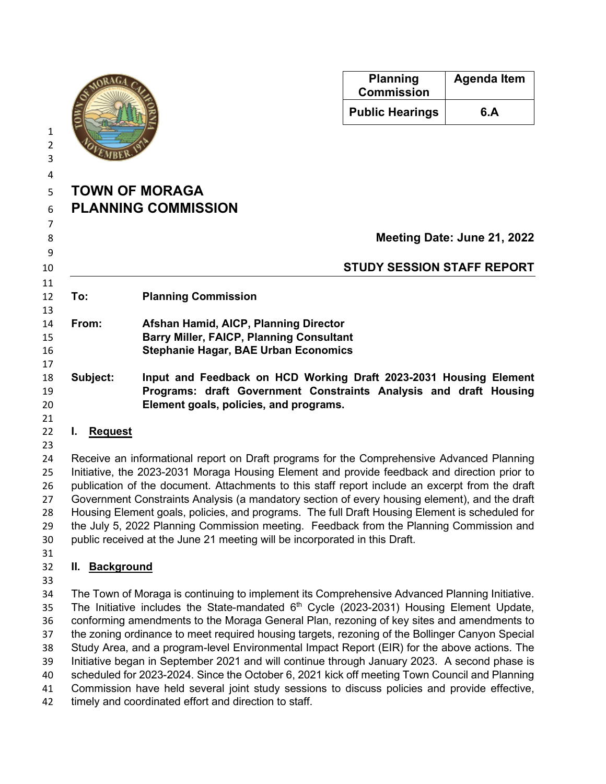

| <b>Planning</b><br><b>Commission</b> | <b>Agenda Item</b> |
|--------------------------------------|--------------------|
| <b>Public Hearings</b>               | 6.A                |

## **TOWN OF MORAGA PLANNING COMMISSION**

**Meeting Date: June 21, 2022 STUDY SESSION STAFF REPORT To: Planning Commission From: Afshan Hamid, AICP, Planning Director Barry Miller, FAICP, Planning Consultant Stephanie Hagar, BAE Urban Economics**

- **Subject: Input and Feedback on HCD Working Draft 2023-2031 Housing Element Programs: draft Government Constraints Analysis and draft Housing Element goals, policies, and programs.**
- **I. Request**
- 

 Receive an informational report on Draft programs for the Comprehensive Advanced Planning Initiative, the 2023-2031 Moraga Housing Element and provide feedback and direction prior to publication of the document. Attachments to this staff report include an excerpt from the draft Government Constraints Analysis (a mandatory section of every housing element), and the draft Housing Element goals, policies, and programs. The full Draft Housing Element is scheduled for the July 5, 2022 Planning Commission meeting. Feedback from the Planning Commission and public received at the June 21 meeting will be incorporated in this Draft.

## **II. Background**

 The Town of Moraga is continuing to implement its Comprehensive Advanced Planning Initiative. 35 The Initiative includes the State-mandated  $6<sup>th</sup>$  Cycle (2023-2031) Housing Element Update, conforming amendments to the Moraga General Plan, rezoning of key sites and amendments to the zoning ordinance to meet required housing targets, rezoning of the Bollinger Canyon Special Study Area, and a program-level Environmental Impact Report (EIR) for the above actions. The Initiative began in September 2021 and will continue through January 2023. A second phase is scheduled for 2023-2024. Since the October 6, 2021 kick off meeting Town Council and Planning Commission have held several joint study sessions to discuss policies and provide effective, timely and coordinated effort and direction to staff.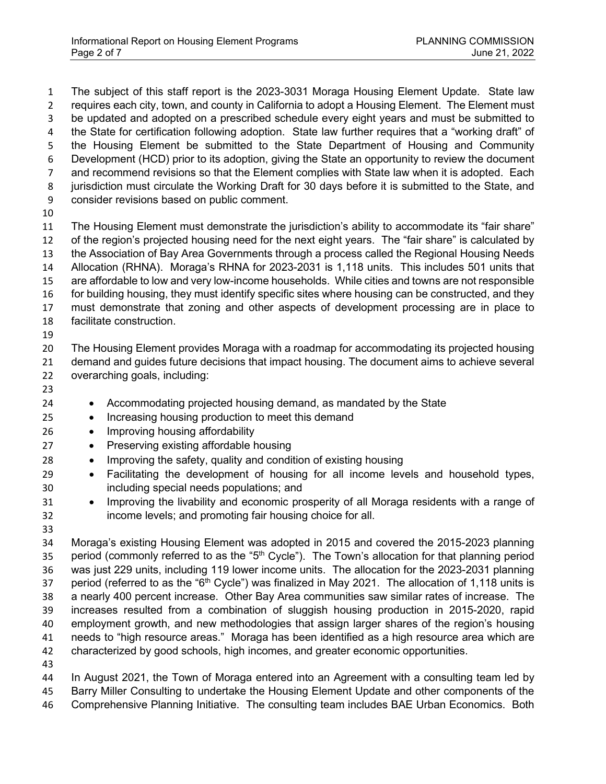The subject of this staff report is the 2023-3031 Moraga Housing Element Update. State law 2 requires each city, town, and county in California to adopt a Housing Element. The Element must be updated and adopted on a prescribed schedule every eight years and must be submitted to the State for certification following adoption. State law further requires that a "working draft" of the Housing Element be submitted to the State Department of Housing and Community Development (HCD) prior to its adoption, giving the State an opportunity to review the document and recommend revisions so that the Element complies with State law when it is adopted. Each 8 jurisdiction must circulate the Working Draft for 30 days before it is submitted to the State, and consider revisions based on public comment. The Housing Element must demonstrate the jurisdiction's ability to accommodate its "fair share" of the region's projected housing need for the next eight years. The "fair share" is calculated by the Association of Bay Area Governments through a process called the Regional Housing Needs Allocation (RHNA). Moraga's RHNA for 2023-2031 is 1,118 units. This includes 501 units that are affordable to low and very low-income households. While cities and towns are not responsible 16 for building housing, they must identify specific sites where housing can be constructed, and they must demonstrate that zoning and other aspects of development processing are in place to facilitate construction. 

 The Housing Element provides Moraga with a roadmap for accommodating its projected housing demand and guides future decisions that impact housing. The document aims to achieve several overarching goals, including:

- 
- Accommodating projected housing demand, as mandated by the State
- Increasing housing production to meet this demand
- Improving housing affordability
- Preserving existing affordable housing
- Improving the safety, quality and condition of existing housing
- Facilitating the development of housing for all income levels and household types, including special needs populations; and
- Improving the livability and economic prosperity of all Moraga residents with a range of income levels; and promoting fair housing choice for all.
- 

 Moraga's existing Housing Element was adopted in 2015 and covered the 2015-2023 planning 35 period (commonly referred to as the " $5<sup>th</sup>$  Cycle"). The Town's allocation for that planning period was just 229 units, including 119 lower income units. The allocation for the 2023-2031 planning 37 period (referred to as the " $6<sup>th</sup>$  Cycle") was finalized in May 2021. The allocation of 1,118 units is a nearly 400 percent increase. Other Bay Area communities saw similar rates of increase. The increases resulted from a combination of sluggish housing production in 2015-2020, rapid employment growth, and new methodologies that assign larger shares of the region's housing needs to "high resource areas." Moraga has been identified as a high resource area which are characterized by good schools, high incomes, and greater economic opportunities.

 In August 2021, the Town of Moraga entered into an Agreement with a consulting team led by Barry Miller Consulting to undertake the Housing Element Update and other components of the Comprehensive Planning Initiative. The consulting team includes BAE Urban Economics. Both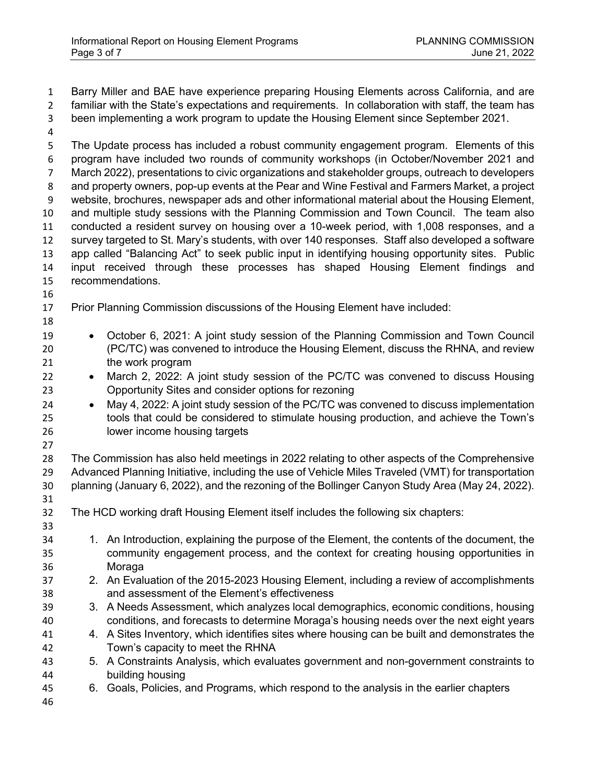Barry Miller and BAE have experience preparing Housing Elements across California, and are familiar with the State's expectations and requirements. In collaboration with staff, the team has been implementing a work program to update the Housing Element since September 2021. The Update process has included a robust community engagement program. Elements of this program have included two rounds of community workshops (in October/November 2021 and March 2022), presentations to civic organizations and stakeholder groups, outreach to developers and property owners, pop-up events at the Pear and Wine Festival and Farmers Market, a project website, brochures, newspaper ads and other informational material about the Housing Element, and multiple study sessions with the Planning Commission and Town Council. The team also conducted a resident survey on housing over a 10-week period, with 1,008 responses, and a survey targeted to St. Mary's students, with over 140 responses. Staff also developed a software app called "Balancing Act" to seek public input in identifying housing opportunity sites. Public input received through these processes has shaped Housing Element findings and recommendations. Prior Planning Commission discussions of the Housing Element have included: • October 6, 2021: A joint study session of the Planning Commission and Town Council (PC/TC) was convened to introduce the Housing Element, discuss the RHNA, and review 21 the work program • March 2, 2022: A joint study session of the PC/TC was convened to discuss Housing Opportunity Sites and consider options for rezoning • May 4, 2022: A joint study session of the PC/TC was convened to discuss implementation tools that could be considered to stimulate housing production, and achieve the Town's lower income housing targets The Commission has also held meetings in 2022 relating to other aspects of the Comprehensive Advanced Planning Initiative, including the use of Vehicle Miles Traveled (VMT) for transportation planning (January 6, 2022), and the rezoning of the Bollinger Canyon Study Area (May 24, 2022). The HCD working draft Housing Element itself includes the following six chapters: 1. An Introduction, explaining the purpose of the Element, the contents of the document, the community engagement process, and the context for creating housing opportunities in Moraga 2. An Evaluation of the 2015-2023 Housing Element, including a review of accomplishments and assessment of the Element's effectiveness 3. A Needs Assessment, which analyzes local demographics, economic conditions, housing conditions, and forecasts to determine Moraga's housing needs over the next eight years 4. A Sites Inventory, which identifies sites where housing can be built and demonstrates the Town's capacity to meet the RHNA 5. A Constraints Analysis, which evaluates government and non-government constraints to building housing 6. Goals, Policies, and Programs, which respond to the analysis in the earlier chapters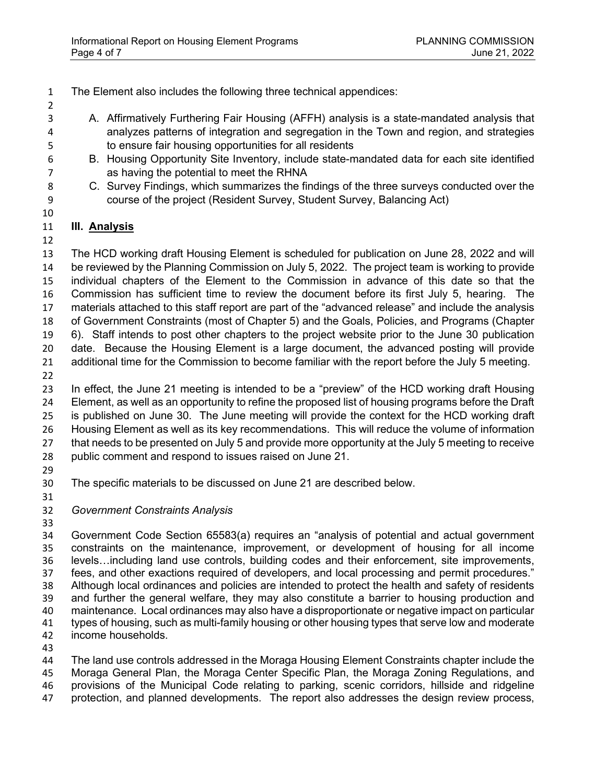- The Element also includes the following three technical appendices:
- A. Affirmatively Furthering Fair Housing (AFFH) analysis is a state-mandated analysis that analyzes patterns of integration and segregation in the Town and region, and strategies to ensure fair housing opportunities for all residents
- B. Housing Opportunity Site Inventory, include state-mandated data for each site identified as having the potential to meet the RHNA
- C. Survey Findings, which summarizes the findings of the three surveys conducted over the course of the project (Resident Survey, Student Survey, Balancing Act)
- 

## **III. Analysis**

 The HCD working draft Housing Element is scheduled for publication on June 28, 2022 and will be reviewed by the Planning Commission on July 5, 2022. The project team is working to provide individual chapters of the Element to the Commission in advance of this date so that the Commission has sufficient time to review the document before its first July 5, hearing. The materials attached to this staff report are part of the "advanced release" and include the analysis of Government Constraints (most of Chapter 5) and the Goals, Policies, and Programs (Chapter 6). Staff intends to post other chapters to the project website prior to the June 30 publication date. Because the Housing Element is a large document, the advanced posting will provide additional time for the Commission to become familiar with the report before the July 5 meeting. 

 In effect, the June 21 meeting is intended to be a "preview" of the HCD working draft Housing Element, as well as an opportunity to refine the proposed list of housing programs before the Draft is published on June 30. The June meeting will provide the context for the HCD working draft Housing Element as well as its key recommendations. This will reduce the volume of information that needs to be presented on July 5 and provide more opportunity at the July 5 meeting to receive public comment and respond to issues raised on June 21.

- 
- The specific materials to be discussed on June 21 are described below.
- 
- *Government Constraints Analysis*
- 

 Government Code Section 65583(a) requires an "analysis of potential and actual government constraints on the maintenance, improvement, or development of housing for all income levels…including land use controls, building codes and their enforcement, site improvements, fees, and other exactions required of developers, and local processing and permit procedures." Although local ordinances and policies are intended to protect the health and safety of residents and further the general welfare, they may also constitute a barrier to housing production and maintenance. Local ordinances may also have a disproportionate or negative impact on particular types of housing, such as multi-family housing or other housing types that serve low and moderate income households.

 The land use controls addressed in the Moraga Housing Element Constraints chapter include the Moraga General Plan, the Moraga Center Specific Plan, the Moraga Zoning Regulations, and provisions of the Municipal Code relating to parking, scenic corridors, hillside and ridgeline protection, and planned developments. The report also addresses the design review process,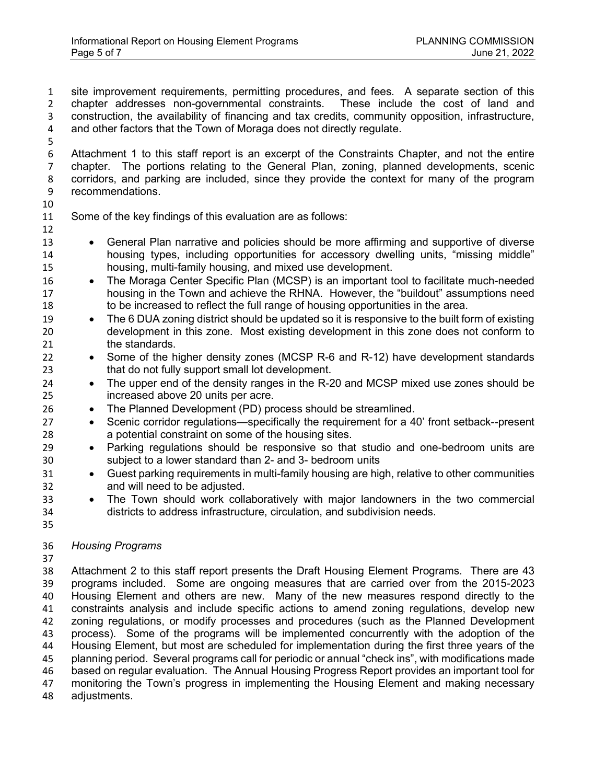site improvement requirements, permitting procedures, and fees. A separate section of this chapter addresses non-governmental constraints. These include the cost of land and construction, the availability of financing and tax credits, community opposition, infrastructure, and other factors that the Town of Moraga does not directly regulate.

 Attachment 1 to this staff report is an excerpt of the Constraints Chapter, and not the entire chapter. The portions relating to the General Plan, zoning, planned developments, scenic corridors, and parking are included, since they provide the context for many of the program recommendations.

Some of the key findings of this evaluation are as follows:

 • General Plan narrative and policies should be more affirming and supportive of diverse housing types, including opportunities for accessory dwelling units, "missing middle" housing, multi-family housing, and mixed use development.

- The Moraga Center Specific Plan (MCSP) is an important tool to facilitate much-needed housing in the Town and achieve the RHNA. However, the "buildout" assumptions need to be increased to reflect the full range of housing opportunities in the area.
- The 6 DUA zoning district should be updated so it is responsive to the built form of existing development in this zone. Most existing development in this zone does not conform to 21 the standards.
- Some of the higher density zones (MCSP R-6 and R-12) have development standards that do not fully support small lot development.
- The upper end of the density ranges in the R-20 and MCSP mixed use zones should be increased above 20 units per acre.
- The Planned Development (PD) process should be streamlined.
- Scenic corridor regulations—specifically the requirement for a 40' front setback--present a potential constraint on some of the housing sites.
- Parking regulations should be responsive so that studio and one-bedroom units are subject to a lower standard than 2- and 3- bedroom units
- Guest parking requirements in multi-family housing are high, relative to other communities and will need to be adjusted.
- The Town should work collaboratively with major landowners in the two commercial districts to address infrastructure, circulation, and subdivision needs.
- *Housing Programs*
- 

 Attachment 2 to this staff report presents the Draft Housing Element Programs. There are 43 programs included. Some are ongoing measures that are carried over from the 2015-2023 Housing Element and others are new. Many of the new measures respond directly to the constraints analysis and include specific actions to amend zoning regulations, develop new zoning regulations, or modify processes and procedures (such as the Planned Development process). Some of the programs will be implemented concurrently with the adoption of the Housing Element, but most are scheduled for implementation during the first three years of the planning period. Several programs call for periodic or annual "check ins", with modifications made based on regular evaluation. The Annual Housing Progress Report provides an important tool for monitoring the Town's progress in implementing the Housing Element and making necessary adjustments.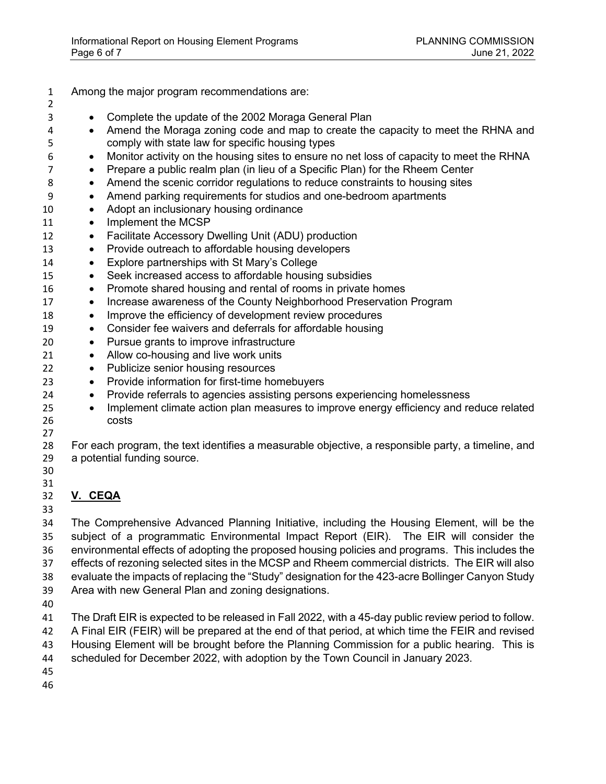- Among the major program recommendations are: • Complete the update of the 2002 Moraga General Plan • Amend the Moraga zoning code and map to create the capacity to meet the RHNA and comply with state law for specific housing types • Monitor activity on the housing sites to ensure no net loss of capacity to meet the RHNA • Prepare a public realm plan (in lieu of a Specific Plan) for the Rheem Center 8 • Amend the scenic corridor regulations to reduce constraints to housing sites • Amend parking requirements for studios and one-bedroom apartments 10 • Adopt an inclusionary housing ordinance 11 • Implement the MCSP 12 • Facilitate Accessory Dwelling Unit (ADU) production • Provide outreach to affordable housing developers 14 • Explore partnerships with St Mary's College • Seek increased access to affordable housing subsidies • Promote shared housing and rental of rooms in private homes • Increase awareness of the County Neighborhood Preservation Program • Improve the efficiency of development review procedures • Consider fee waivers and deferrals for affordable housing • Pursue grants to improve infrastructure 21 • Allow co-housing and live work units • Publicize senior housing resources • Provide information for first-time homebuyers • Provide referrals to agencies assisting persons experiencing homelessness <sup>25</sup> • Implement climate action plan measures to improve energy efficiency and reduce related costs For each program, the text identifies a measurable objective, a responsible party, a timeline, and a potential funding source. **V. CEQA** The Comprehensive Advanced Planning Initiative, including the Housing Element, will be the subject of a programmatic Environmental Impact Report (EIR). The EIR will consider the environmental effects of adopting the proposed housing policies and programs. This includes the
- effects of rezoning selected sites in the MCSP and Rheem commercial districts. The EIR will also evaluate the impacts of replacing the "Study" designation for the 423-acre Bollinger Canyon Study
- Area with new General Plan and zoning designations.
- 
- The Draft EIR is expected to be released in Fall 2022, with a 45-day public review period to follow.
- A Final EIR (FEIR) will be prepared at the end of that period, at which time the FEIR and revised
- Housing Element will be brought before the Planning Commission for a public hearing. This is
- scheduled for December 2022, with adoption by the Town Council in January 2023.
- 
-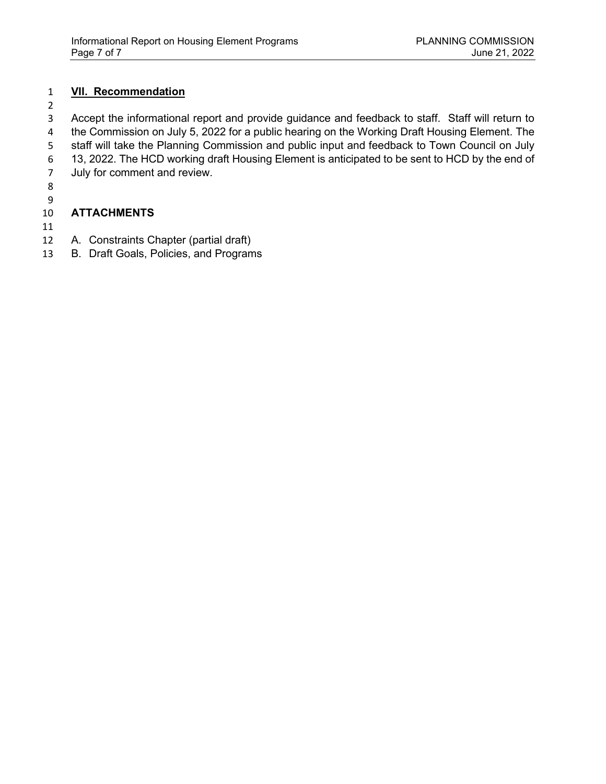#### **VII. Recommendation**

Accept the informational report and provide guidance and feedback to staff. Staff will return to the Commission on July 5, 2022 for a public hearing on the Working Draft Housing Element. The 5 staff will take the Planning Commission and public input and feedback to Town Council on July<br>6 13, 2022. The HCD working draft Housing Element is anticipated to be sent to HCD by the end of 13, 2022. The HCD working draft Housing Element is anticipated to be sent to HCD by the end of July for comment and review.

 

## **ATTACHMENTS**

- 
- A. Constraints Chapter (partial draft)
- B. Draft Goals, Policies, and Programs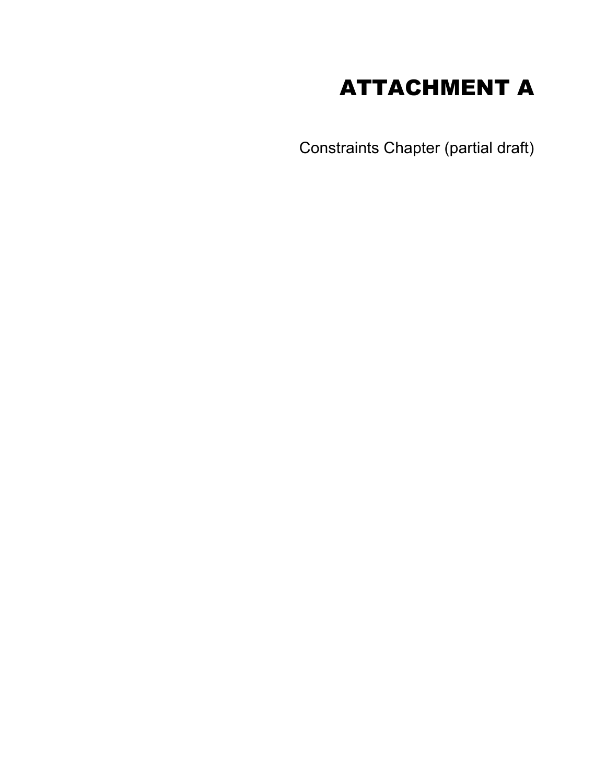# ATTACHMENT A

Constraints Chapter (partial draft)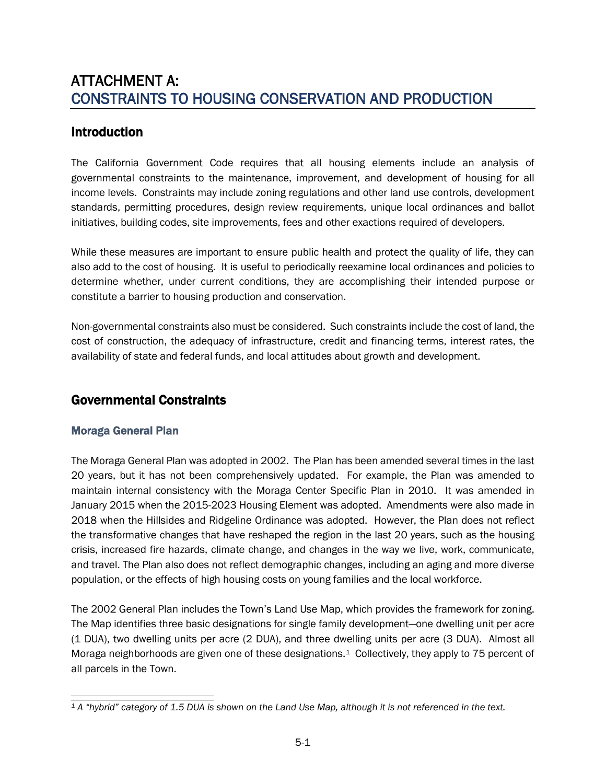## ATTACHMENT A: CONSTRAINTS TO HOUSING CONSERVATION AND PRODUCTION

## Introduction

The California Government Code requires that all housing elements include an analysis of governmental constraints to the maintenance, improvement, and development of housing for all income levels. Constraints may include zoning regulations and other land use controls, development standards, permitting procedures, design review requirements, unique local ordinances and ballot initiatives, building codes, site improvements, fees and other exactions required of developers.

While these measures are important to ensure public health and protect the quality of life, they can also add to the cost of housing. It is useful to periodically reexamine local ordinances and policies to determine whether, under current conditions, they are accomplishing their intended purpose or constitute a barrier to housing production and conservation.

Non-governmental constraints also must be considered. Such constraints include the cost of land, the cost of construction, the adequacy of infrastructure, credit and financing terms, interest rates, the availability of state and federal funds, and local attitudes about growth and development.

## Governmental Constraints

#### Moraga General Plan

The Moraga General Plan was adopted in 2002. The Plan has been amended several times in the last 20 years, but it has not been comprehensively updated. For example, the Plan was amended to maintain internal consistency with the Moraga Center Specific Plan in 2010. It was amended in January 2015 when the 2015-2023 Housing Element was adopted. Amendments were also made in 2018 when the Hillsides and Ridgeline Ordinance was adopted. However, the Plan does not reflect the transformative changes that have reshaped the region in the last 20 years, such as the housing crisis, increased fire hazards, climate change, and changes in the way we live, work, communicate, and travel. The Plan also does not reflect demographic changes, including an aging and more diverse population, or the effects of high housing costs on young families and the local workforce.

The 2002 General Plan includes the Town's Land Use Map, which provides the framework for zoning. The Map identifies three basic designations for single family development—one dwelling unit per acre (1 DUA), two dwelling units per acre (2 DUA), and three dwelling units per acre (3 DUA). Almost all Moraga neighborhoods are given one of these designations.[1](#page-8-0) Collectively, they apply to 75 percent of all parcels in the Town.

<span id="page-8-0"></span>*<sup>1</sup> A "hybrid" category of 1.5 DUA is shown on the Land Use Map, although it is not referenced in the text.*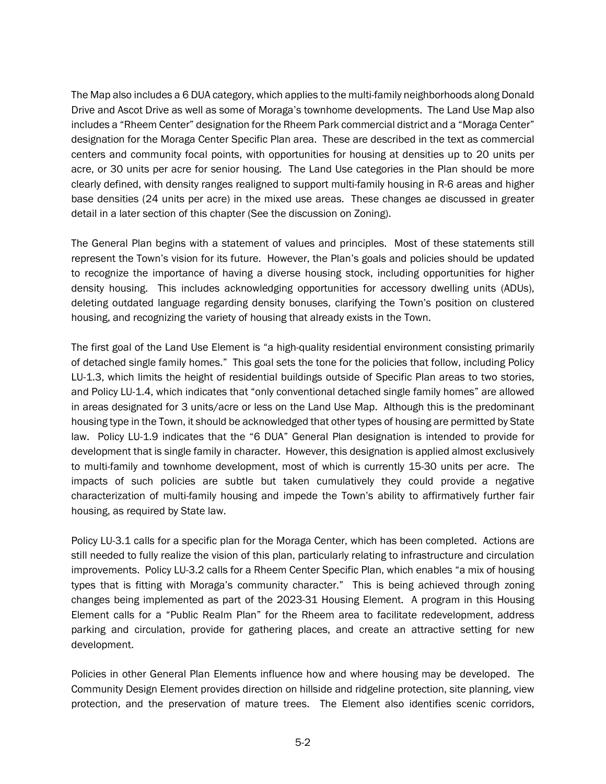The Map also includes a 6 DUA category, which applies to the multi-family neighborhoods along Donald Drive and Ascot Drive as well as some of Moraga's townhome developments. The Land Use Map also includes a "Rheem Center" designation for the Rheem Park commercial district and a "Moraga Center" designation for the Moraga Center Specific Plan area. These are described in the text as commercial centers and community focal points, with opportunities for housing at densities up to 20 units per acre, or 30 units per acre for senior housing. The Land Use categories in the Plan should be more clearly defined, with density ranges realigned to support multi-family housing in R-6 areas and higher base densities (24 units per acre) in the mixed use areas. These changes ae discussed in greater detail in a later section of this chapter (See the discussion on Zoning).

The General Plan begins with a statement of values and principles. Most of these statements still represent the Town's vision for its future. However, the Plan's goals and policies should be updated to recognize the importance of having a diverse housing stock, including opportunities for higher density housing. This includes acknowledging opportunities for accessory dwelling units (ADUs), deleting outdated language regarding density bonuses, clarifying the Town's position on clustered housing, and recognizing the variety of housing that already exists in the Town.

The first goal of the Land Use Element is "a high-quality residential environment consisting primarily of detached single family homes." This goal sets the tone for the policies that follow, including Policy LU-1.3, which limits the height of residential buildings outside of Specific Plan areas to two stories, and Policy LU-1.4, which indicates that "only conventional detached single family homes" are allowed in areas designated for 3 units/acre or less on the Land Use Map. Although this is the predominant housing type in the Town, it should be acknowledged that other types of housing are permitted by State law. Policy LU-1.9 indicates that the "6 DUA" General Plan designation is intended to provide for development that is single family in character. However, this designation is applied almost exclusively to multi-family and townhome development, most of which is currently 15-30 units per acre. The impacts of such policies are subtle but taken cumulatively they could provide a negative characterization of multi-family housing and impede the Town's ability to affirmatively further fair housing, as required by State law.

Policy LU-3.1 calls for a specific plan for the Moraga Center, which has been completed. Actions are still needed to fully realize the vision of this plan, particularly relating to infrastructure and circulation improvements. Policy LU-3.2 calls for a Rheem Center Specific Plan, which enables "a mix of housing types that is fitting with Moraga's community character." This is being achieved through zoning changes being implemented as part of the 2023-31 Housing Element. A program in this Housing Element calls for a "Public Realm Plan" for the Rheem area to facilitate redevelopment, address parking and circulation, provide for gathering places, and create an attractive setting for new development.

Policies in other General Plan Elements influence how and where housing may be developed. The Community Design Element provides direction on hillside and ridgeline protection, site planning, view protection, and the preservation of mature trees. The Element also identifies scenic corridors,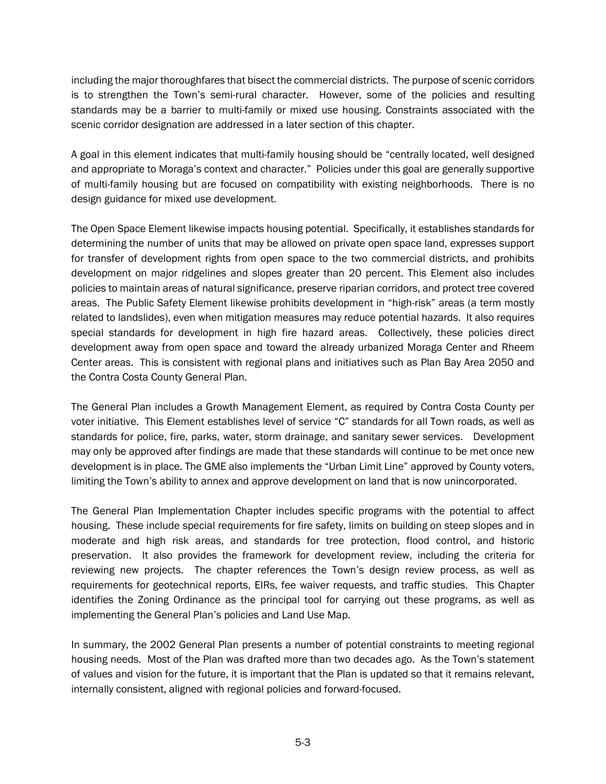including the major thoroughfares that bisect the commercial districts. The purpose of scenic corridors is to strengthen the Town's semi-rural character. However, some of the policies and resulting standards may be a barrier to multi-family or mixed use housing. Constraints associated with the scenic corridor designation are addressed in a later section of this chapter.

A goal in this element indicates that multi-family housing should be "centrally located, well designed and appropriate to Moraga's context and character." Policies under this goal are generally supportive of multi-family housing but are focused on compatibility with existing neighborhoods. There is no design guidance for mixed use development.

The Open Space Element likewise impacts housing potential. Specifically, it establishes standards for determining the number of units that may be allowed on private open space land, expresses support for transfer of development rights from open space to the two commercial districts, and prohibits development on major ridgelines and slopes greater than 20 percent. This Element also includes policies to maintain areas of natural significance, preserve riparian corridors, and protect tree covered areas. The Public Safety Element likewise prohibits development in "high-risk" areas (a term mostly related to landslides), even when mitigation measures may reduce potential hazards. It also requires special standards for development in high fire hazard areas. Collectively, these policies direct development away from open space and toward the already urbanized Moraga Center and Rheem Center areas. This is consistent with regional plans and initiatives such as Plan Bay Area 2050 and the Contra Costa County General Plan.

The General Plan includes a Growth Management Element, as required by Contra Costa County per voter initiative. This Element establishes level of service "C" standards for all Town roads, as well as standards for police, fire, parks, water, storm drainage, and sanitary sewer services. Development may only be approved after findings are made that these standards will continue to be met once new development is in place. The GME also implements the "Urban Limit Line" approved by County voters, limiting the Town's ability to annex and approve development on land that is now unincorporated.

The General Plan Implementation Chapter includes specific programs with the potential to affect housing. These include special requirements for fire safety, limits on building on steep slopes and in moderate and high risk areas, and standards for tree protection, flood control, and historic preservation. It also provides the framework for development review, including the criteria for reviewing new projects. The chapter references the Town's design review process, as well as requirements for geotechnical reports, EIRs, fee waiver requests, and traffic studies. This Chapter identifies the Zoning Ordinance as the principal tool for carrying out these programs, as well as implementing the General Plan's policies and Land Use Map.

In summary, the 2002 General Plan presents a number of potential constraints to meeting regional housing needs. Most of the Plan was drafted more than two decades ago. As the Town's statement of values and vision for the future, it is important that the Plan is updated so that it remains relevant, internally consistent, aligned with regional policies and forward-focused.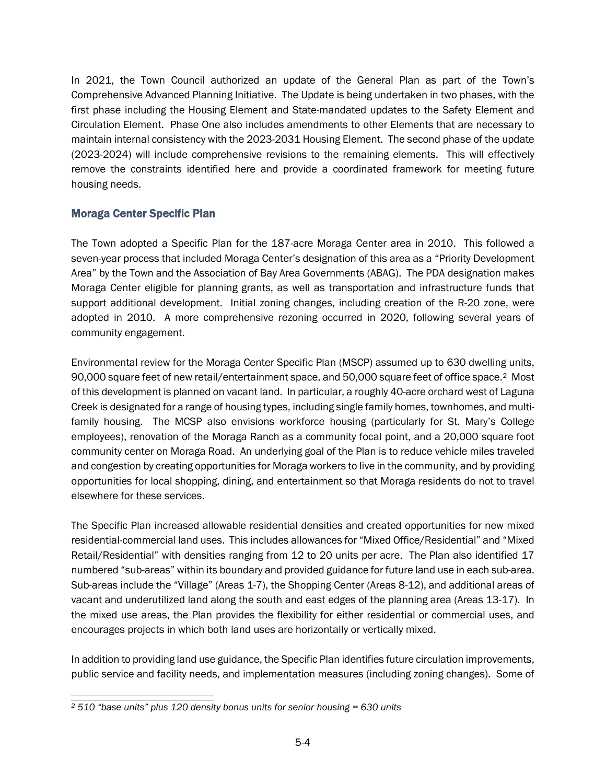In 2021, the Town Council authorized an update of the General Plan as part of the Town's Comprehensive Advanced Planning Initiative. The Update is being undertaken in two phases, with the first phase including the Housing Element and State-mandated updates to the Safety Element and Circulation Element. Phase One also includes amendments to other Elements that are necessary to maintain internal consistency with the 2023-2031 Housing Element. The second phase of the update (2023-2024) will include comprehensive revisions to the remaining elements. This will effectively remove the constraints identified here and provide a coordinated framework for meeting future housing needs.

#### Moraga Center Specific Plan

The Town adopted a Specific Plan for the 187-acre Moraga Center area in 2010. This followed a seven-year process that included Moraga Center's designation of this area as a "Priority Development Area" by the Town and the Association of Bay Area Governments (ABAG). The PDA designation makes Moraga Center eligible for planning grants, as well as transportation and infrastructure funds that support additional development. Initial zoning changes, including creation of the R-20 zone, were adopted in 2010. A more comprehensive rezoning occurred in 2020, following several years of community engagement.

Environmental review for the Moraga Center Specific Plan (MSCP) assumed up to 630 dwelling units, 90,000 square feet of new retail/entertainment space, and 50,000 square feet of office space.[2](#page-11-0) Most of this development is planned on vacant land. In particular, a roughly 40-acre orchard west of Laguna Creek is designated for a range of housing types, including single family homes, townhomes, and multifamily housing. The MCSP also envisions workforce housing (particularly for St. Mary's College employees), renovation of the Moraga Ranch as a community focal point, and a 20,000 square foot community center on Moraga Road. An underlying goal of the Plan is to reduce vehicle miles traveled and congestion by creating opportunities for Moraga workers to live in the community, and by providing opportunities for local shopping, dining, and entertainment so that Moraga residents do not to travel elsewhere for these services.

The Specific Plan increased allowable residential densities and created opportunities for new mixed residential-commercial land uses. This includes allowances for "Mixed Office/Residential" and "Mixed Retail/Residential" with densities ranging from 12 to 20 units per acre. The Plan also identified 17 numbered "sub-areas" within its boundary and provided guidance for future land use in each sub-area. Sub-areas include the "Village" (Areas 1-7), the Shopping Center (Areas 8-12), and additional areas of vacant and underutilized land along the south and east edges of the planning area (Areas 13-17). In the mixed use areas, the Plan provides the flexibility for either residential or commercial uses, and encourages projects in which both land uses are horizontally or vertically mixed.

In addition to providing land use guidance, the Specific Plan identifies future circulation improvements, public service and facility needs, and implementation measures (including zoning changes). Some of

<span id="page-11-0"></span>*<sup>2</sup> 510 "base units" plus 120 density bonus units for senior housing = 630 units*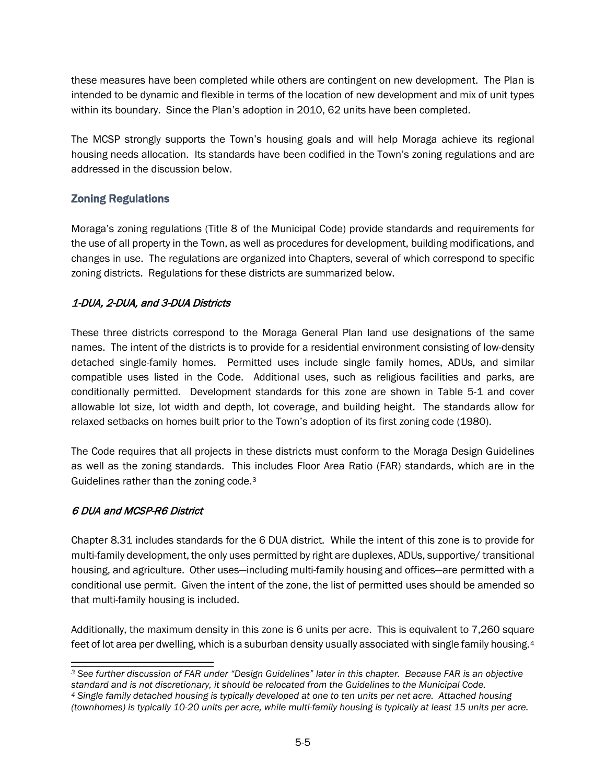these measures have been completed while others are contingent on new development. The Plan is intended to be dynamic and flexible in terms of the location of new development and mix of unit types within its boundary. Since the Plan's adoption in 2010, 62 units have been completed.

The MCSP strongly supports the Town's housing goals and will help Moraga achieve its regional housing needs allocation. Its standards have been codified in the Town's zoning regulations and are addressed in the discussion below.

#### Zoning Regulations

Moraga's zoning regulations (Title 8 of the Municipal Code) provide standards and requirements for the use of all property in the Town, as well as procedures for development, building modifications, and changes in use. The regulations are organized into Chapters, several of which correspond to specific zoning districts. Regulations for these districts are summarized below.

#### 1-DUA, 2-DUA, and 3-DUA Districts

These three districts correspond to the Moraga General Plan land use designations of the same names. The intent of the districts is to provide for a residential environment consisting of low-density detached single-family homes. Permitted uses include single family homes, ADUs, and similar compatible uses listed in the Code. Additional uses, such as religious facilities and parks, are conditionally permitted. Development standards for this zone are shown in Table 5-1 and cover allowable lot size, lot width and depth, lot coverage, and building height. The standards allow for relaxed setbacks on homes built prior to the Town's adoption of its first zoning code (1980).

The Code requires that all projects in these districts must conform to the Moraga Design Guidelines as well as the zoning standards. This includes Floor Area Ratio (FAR) standards, which are in the Guidelines rather than the zoning code.[3](#page-12-0)

#### 6 DUA and MCSP-R6 District

Chapter 8.31 includes standards for the 6 DUA district. While the intent of this zone is to provide for multi-family development, the only uses permitted by right are duplexes, ADUs, supportive/ transitional housing, and agriculture. Other uses—including multi-family housing and offices—are permitted with a conditional use permit. Given the intent of the zone, the list of permitted uses should be amended so that multi-family housing is included.

Additionally, the maximum density in this zone is 6 units per acre. This is equivalent to 7,260 square feet of lot area per dwelling, which is a suburban density usually associated with single family housing.[4](#page-12-1)

<span id="page-12-0"></span>*<sup>3</sup> See further discussion of FAR under "Design Guidelines" later in this chapter. Because FAR is an objective standard and is not discretionary, it should be relocated from the Guidelines to the Municipal Code.*

<span id="page-12-1"></span>*<sup>4</sup> Single family detached housing is typically developed at one to ten units per net acre. Attached housing (townhomes) is typically 10-20 units per acre, while multi-family housing is typically at least 15 units per acre.*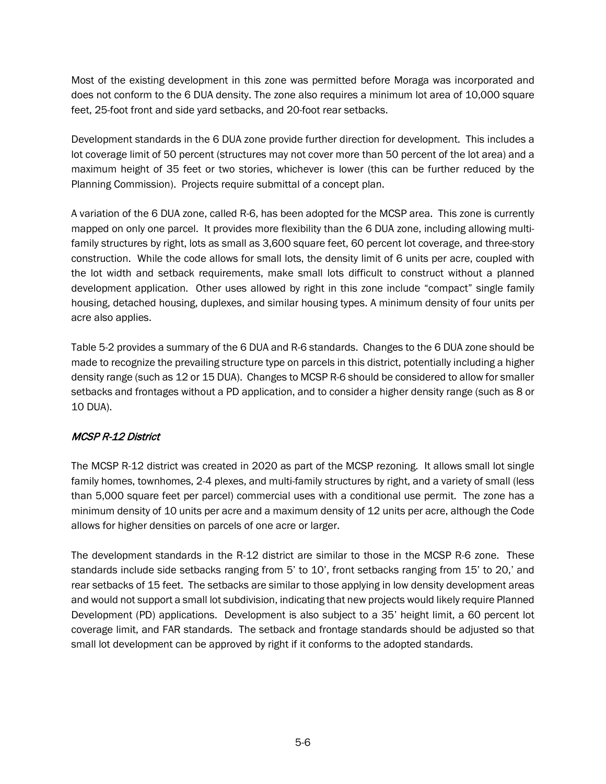Most of the existing development in this zone was permitted before Moraga was incorporated and does not conform to the 6 DUA density. The zone also requires a minimum lot area of 10,000 square feet, 25-foot front and side yard setbacks, and 20-foot rear setbacks.

Development standards in the 6 DUA zone provide further direction for development. This includes a lot coverage limit of 50 percent (structures may not cover more than 50 percent of the lot area) and a maximum height of 35 feet or two stories, whichever is lower (this can be further reduced by the Planning Commission). Projects require submittal of a concept plan.

A variation of the 6 DUA zone, called R-6, has been adopted for the MCSP area. This zone is currently mapped on only one parcel. It provides more flexibility than the 6 DUA zone, including allowing multifamily structures by right, lots as small as 3,600 square feet, 60 percent lot coverage, and three-story construction. While the code allows for small lots, the density limit of 6 units per acre, coupled with the lot width and setback requirements, make small lots difficult to construct without a planned development application. Other uses allowed by right in this zone include "compact" single family housing, detached housing, duplexes, and similar housing types. A minimum density of four units per acre also applies.

Table 5-2 provides a summary of the 6 DUA and R-6 standards. Changes to the 6 DUA zone should be made to recognize the prevailing structure type on parcels in this district, potentially including a higher density range (such as 12 or 15 DUA). Changes to MCSP R-6 should be considered to allow for smaller setbacks and frontages without a PD application, and to consider a higher density range (such as 8 or 10 DUA).

#### MCSP R-12 District

The MCSP R-12 district was created in 2020 as part of the MCSP rezoning. It allows small lot single family homes, townhomes, 2-4 plexes, and multi-family structures by right, and a variety of small (less than 5,000 square feet per parcel) commercial uses with a conditional use permit. The zone has a minimum density of 10 units per acre and a maximum density of 12 units per acre, although the Code allows for higher densities on parcels of one acre or larger.

The development standards in the R-12 district are similar to those in the MCSP R-6 zone. These standards include side setbacks ranging from 5' to 10', front setbacks ranging from 15' to 20,' and rear setbacks of 15 feet. The setbacks are similar to those applying in low density development areas and would not support a small lot subdivision, indicating that new projects would likely require Planned Development (PD) applications. Development is also subject to a 35' height limit, a 60 percent lot coverage limit, and FAR standards. The setback and frontage standards should be adjusted so that small lot development can be approved by right if it conforms to the adopted standards.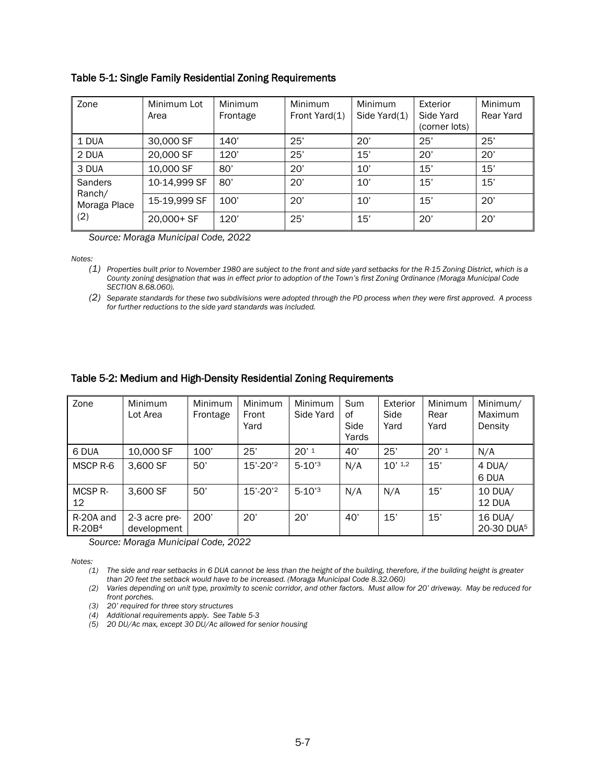| Zone                   | Minimum Lot<br>Area | <b>Minimum</b><br>Frontage | <b>Minimum</b><br>Front Yard(1) | <b>Minimum</b><br>Side Yard(1) | Exterior<br>Side Yard<br>(corner lots) | Minimum<br>Rear Yard |
|------------------------|---------------------|----------------------------|---------------------------------|--------------------------------|----------------------------------------|----------------------|
| 1 DUA                  | 30,000 SF           | 140'                       | 25'                             | 20'                            | 25'                                    | 25'                  |
| 2 DUA                  | 20,000 SF           | 120'                       | 25'                             | 15'                            | 20'                                    | 20'                  |
| 3 DUA                  | 10,000 SF           | 80'                        | 20'                             | 10'                            | 15'                                    | 15'                  |
| <b>Sanders</b>         | 10-14,999 SF        | 80'                        | 20'                             | 10'                            | 15'                                    | 15'                  |
| Ranch/<br>Moraga Place | 15-19,999 SF        | 100'                       | 20'                             | 10'                            | 15'                                    | 20'                  |
| (2)                    | $20,000+SF$         | 120'                       | 25'                             | 15'                            | 20'                                    | 20'                  |

#### Table 5-1: Single Family Residential Zoning Requirements

*Source: Moraga Municipal Code, 2022*

*Notes:*

*(1) Properties built prior to November 1980 are subject to the front and side yard setbacks for the R-15 Zoning District, which is a County zoning designation that was in effect prior to adoption of the Town's first Zoning Ordinance (Moraga Municipal Code SECTION 8.68.060).*

*(2) Separate standards for these two subdivisions were adopted through the PD process when they were first approved. A process for further reductions to the side yard standards was included.*

#### Table 5-2: Medium and High-Density Residential Zoning Requirements

| Zone                      | <b>Minimum</b><br>Lot Area   | Minimum<br>Frontage | Minimum<br>Front<br>Yard | Minimum<br>Side Yard   | Sum<br>of<br>Side<br>Yards | Exterior<br>Side<br>Yard | Minimum<br>Rear<br>Yard | Minimum/<br>Maximum<br>Density    |
|---------------------------|------------------------------|---------------------|--------------------------|------------------------|----------------------------|--------------------------|-------------------------|-----------------------------------|
| 6 DUA                     | 10,000 SF                    | 100'                | 25'                      | $20'$ <sup>1</sup>     | 40'                        | 25'                      | $20'$ <sup>1</sup>      | N/A                               |
| MSCP R-6                  | 3,600 SF                     | 50'                 | 15'-20'2                 | $5 - 10'$ <sup>3</sup> | N/A                        | $10'$ <sup>1,2</sup>     | 15'                     | 4 DUA/<br>6 DUA                   |
| MCSP <sub>R</sub> -<br>12 | 3,600 SF                     | 50'                 | 15'-20'2                 | $5 - 10'$ <sup>3</sup> | N/A                        | N/A                      | 15'                     | 10 DUA/<br>12 DUA                 |
| R-20A and<br>$R-20B4$     | 2-3 acre pre-<br>development | 200'                | 20'                      | 20'                    | 40'                        | 15'                      | 15'                     | 16 DUA/<br>20-30 DUA <sup>5</sup> |

*Source: Moraga Municipal Code, 2022*

*Notes:*

*(1) The side and rear setbacks in 6 DUA cannot be less than the height of the building, therefore, if the building height is greater than 20 feet the setback would have to be increased. (Moraga Municipal Code 8.32.060)*

*(2) Varies depending on unit type, proximity to scenic corridor, and other factors. Must allow for 20' driveway. May be reduced for front porches.*

*(3) 20' required for three story structures*

*(4) Additional requirements apply. See Table 5-3*

*(5) 20 DU/Ac max, except 30 DU/Ac allowed for senior housing*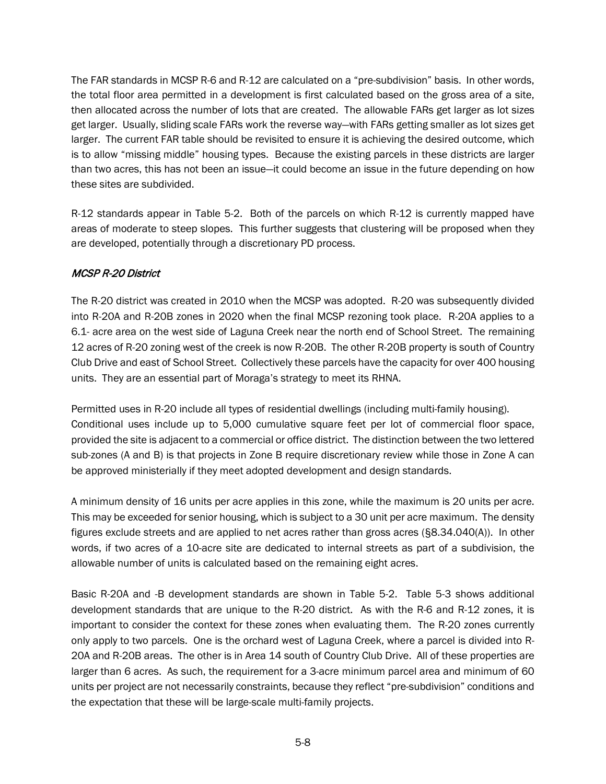The FAR standards in MCSP R-6 and R-12 are calculated on a "pre-subdivision" basis. In other words, the total floor area permitted in a development is first calculated based on the gross area of a site, then allocated across the number of lots that are created. The allowable FARs get larger as lot sizes get larger. Usually, sliding scale FARs work the reverse way—with FARs getting smaller as lot sizes get larger. The current FAR table should be revisited to ensure it is achieving the desired outcome, which is to allow "missing middle" housing types. Because the existing parcels in these districts are larger than two acres, this has not been an issue—it could become an issue in the future depending on how these sites are subdivided.

R-12 standards appear in Table 5-2. Both of the parcels on which R-12 is currently mapped have areas of moderate to steep slopes. This further suggests that clustering will be proposed when they are developed, potentially through a discretionary PD process.

#### MCSP R-20 District

The R-20 district was created in 2010 when the MCSP was adopted. R-20 was subsequently divided into R-20A and R-20B zones in 2020 when the final MCSP rezoning took place. R-20A applies to a 6.1- acre area on the west side of Laguna Creek near the north end of School Street. The remaining 12 acres of R-20 zoning west of the creek is now R-20B. The other R-20B property is south of Country Club Drive and east of School Street. Collectively these parcels have the capacity for over 400 housing units. They are an essential part of Moraga's strategy to meet its RHNA.

Permitted uses in R-20 include all types of residential dwellings (including multi-family housing). Conditional uses include up to 5,000 cumulative square feet per lot of commercial floor space, provided the site is adjacent to a commercial or office district. The distinction between the two lettered sub-zones (A and B) is that projects in Zone B require discretionary review while those in Zone A can be approved ministerially if they meet adopted development and design standards.

A minimum density of 16 units per acre applies in this zone, while the maximum is 20 units per acre. This may be exceeded for senior housing, which is subject to a 30 unit per acre maximum. The density figures exclude streets and are applied to net acres rather than gross acres (§8.34.040(A)). In other words, if two acres of a 10-acre site are dedicated to internal streets as part of a subdivision, the allowable number of units is calculated based on the remaining eight acres.

Basic R-20A and -B development standards are shown in Table 5-2. Table 5-3 shows additional development standards that are unique to the R-20 district. As with the R-6 and R-12 zones, it is important to consider the context for these zones when evaluating them. The R-20 zones currently only apply to two parcels. One is the orchard west of Laguna Creek, where a parcel is divided into R-20A and R-20B areas. The other is in Area 14 south of Country Club Drive. All of these properties are larger than 6 acres. As such, the requirement for a 3-acre minimum parcel area and minimum of 60 units per project are not necessarily constraints, because they reflect "pre-subdivision" conditions and the expectation that these will be large-scale multi-family projects.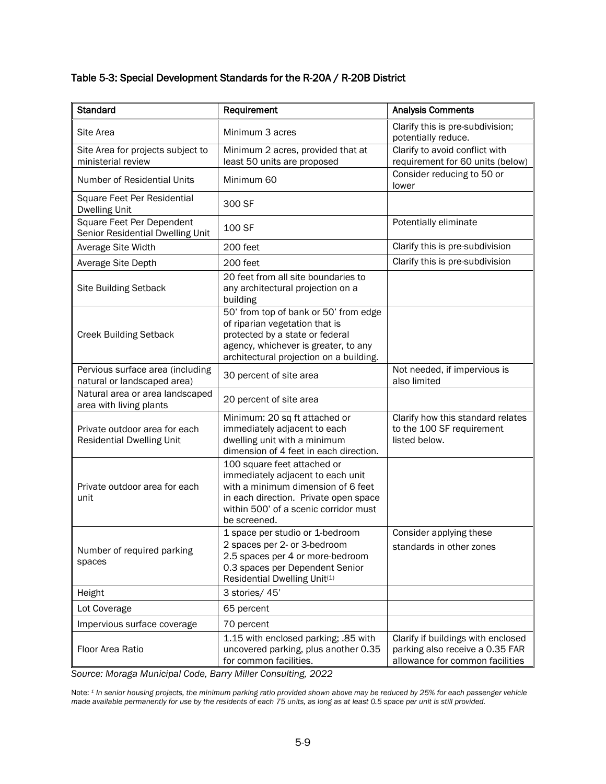#### Table 5-3: Special Development Standards for the R-20A / R-20B District

| <b>Standard</b>                                                   | Requirement                                                                                                                                                                                              | <b>Analysis Comments</b>                                                                                 |
|-------------------------------------------------------------------|----------------------------------------------------------------------------------------------------------------------------------------------------------------------------------------------------------|----------------------------------------------------------------------------------------------------------|
| Site Area                                                         | Minimum 3 acres                                                                                                                                                                                          | Clarify this is pre-subdivision;<br>potentially reduce.                                                  |
| Site Area for projects subject to<br>ministerial review           | Minimum 2 acres, provided that at<br>least 50 units are proposed                                                                                                                                         | Clarify to avoid conflict with<br>requirement for 60 units (below)                                       |
| Number of Residential Units                                       | Minimum 60                                                                                                                                                                                               | Consider reducing to 50 or<br>lower                                                                      |
| Square Feet Per Residential<br><b>Dwelling Unit</b>               | 300 SF                                                                                                                                                                                                   |                                                                                                          |
| Square Feet Per Dependent<br>Senior Residential Dwelling Unit     | 100 SF                                                                                                                                                                                                   | Potentially eliminate                                                                                    |
| Average Site Width                                                | 200 feet                                                                                                                                                                                                 | Clarify this is pre-subdivision                                                                          |
| Average Site Depth                                                | 200 feet                                                                                                                                                                                                 | Clarify this is pre-subdivision                                                                          |
| <b>Site Building Setback</b>                                      | 20 feet from all site boundaries to<br>any architectural projection on a<br>building                                                                                                                     |                                                                                                          |
| <b>Creek Building Setback</b>                                     | 50' from top of bank or 50' from edge<br>of riparian vegetation that is<br>protected by a state or federal<br>agency, whichever is greater, to any<br>architectural projection on a building.            |                                                                                                          |
| Pervious surface area (including<br>natural or landscaped area)   | 30 percent of site area                                                                                                                                                                                  | Not needed, if impervious is<br>also limited                                                             |
| Natural area or area landscaped<br>area with living plants        | 20 percent of site area                                                                                                                                                                                  |                                                                                                          |
| Private outdoor area for each<br><b>Residential Dwelling Unit</b> | Minimum: 20 sq ft attached or<br>immediately adjacent to each<br>dwelling unit with a minimum<br>dimension of 4 feet in each direction.                                                                  | Clarify how this standard relates<br>to the 100 SF requirement<br>listed below.                          |
| Private outdoor area for each<br>unit                             | 100 square feet attached or<br>immediately adjacent to each unit<br>with a minimum dimension of 6 feet<br>in each direction. Private open space<br>within 500' of a scenic corridor must<br>be screened. |                                                                                                          |
| Number of required parking<br>spaces                              | 1 space per studio or 1-bedroom<br>2 spaces per 2- or 3-bedroom<br>2.5 spaces per 4 or more-bedroom<br>0.3 spaces per Dependent Senior<br>Residential Dwelling Unit(1)                                   | Consider applying these<br>standards in other zones                                                      |
| Height                                                            | 3 stories/ 45'                                                                                                                                                                                           |                                                                                                          |
| Lot Coverage                                                      | 65 percent                                                                                                                                                                                               |                                                                                                          |
| Impervious surface coverage                                       | 70 percent                                                                                                                                                                                               |                                                                                                          |
| Floor Area Ratio                                                  | 1.15 with enclosed parking; .85 with<br>uncovered parking, plus another 0.35<br>for common facilities.                                                                                                   | Clarify if buildings with enclosed<br>parking also receive a 0.35 FAR<br>allowance for common facilities |

*Source: Moraga Municipal Code, Barry Miller Consulting, 2022*

Note: *<sup>1</sup> In senior housing projects, the minimum parking ratio provided shown above may be reduced by 25% for each passenger vehicle made available permanently for use by the residents of each 75 units, as long as at least 0.5 space per unit is still provided.*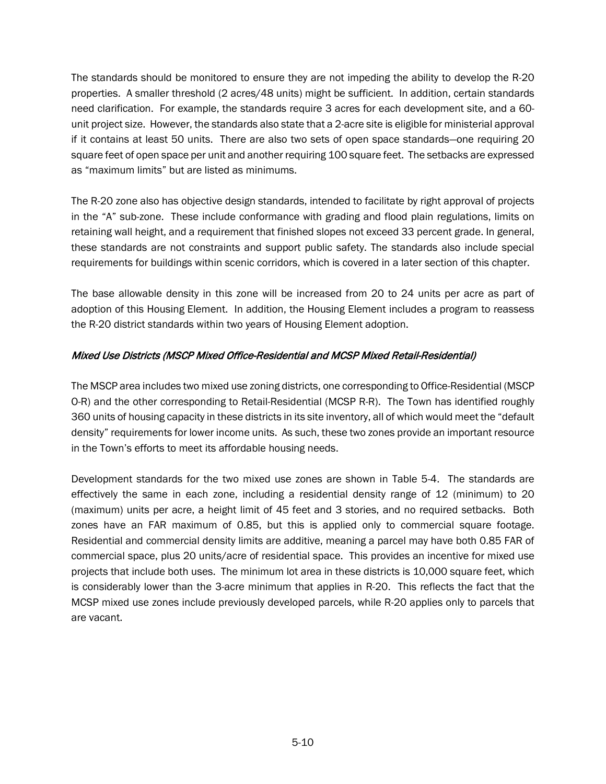The standards should be monitored to ensure they are not impeding the ability to develop the R-20 properties. A smaller threshold (2 acres/48 units) might be sufficient. In addition, certain standards need clarification. For example, the standards require 3 acres for each development site, and a 60 unit project size. However, the standards also state that a 2-acre site is eligible for ministerial approval if it contains at least 50 units. There are also two sets of open space standards—one requiring 20 square feet of open space per unit and another requiring 100 square feet. The setbacks are expressed as "maximum limits" but are listed as minimums.

The R-20 zone also has objective design standards, intended to facilitate by right approval of projects in the "A" sub-zone. These include conformance with grading and flood plain regulations, limits on retaining wall height, and a requirement that finished slopes not exceed 33 percent grade. In general, these standards are not constraints and support public safety. The standards also include special requirements for buildings within scenic corridors, which is covered in a later section of this chapter.

The base allowable density in this zone will be increased from 20 to 24 units per acre as part of adoption of this Housing Element. In addition, the Housing Element includes a program to reassess the R-20 district standards within two years of Housing Element adoption.

#### Mixed Use Districts (MSCP Mixed Office-Residential and MCSP Mixed Retail-Residential)

The MSCP area includes two mixed use zoning districts, one corresponding to Office-Residential (MSCP O-R) and the other corresponding to Retail-Residential (MCSP R-R). The Town has identified roughly 360 units of housing capacity in these districts in its site inventory, all of which would meet the "default density" requirements for lower income units. As such, these two zones provide an important resource in the Town's efforts to meet its affordable housing needs.

Development standards for the two mixed use zones are shown in Table 5-4. The standards are effectively the same in each zone, including a residential density range of 12 (minimum) to 20 (maximum) units per acre, a height limit of 45 feet and 3 stories, and no required setbacks. Both zones have an FAR maximum of 0.85, but this is applied only to commercial square footage. Residential and commercial density limits are additive, meaning a parcel may have both 0.85 FAR of commercial space, plus 20 units/acre of residential space. This provides an incentive for mixed use projects that include both uses. The minimum lot area in these districts is 10,000 square feet, which is considerably lower than the 3-acre minimum that applies in R-20. This reflects the fact that the MCSP mixed use zones include previously developed parcels, while R-20 applies only to parcels that are vacant.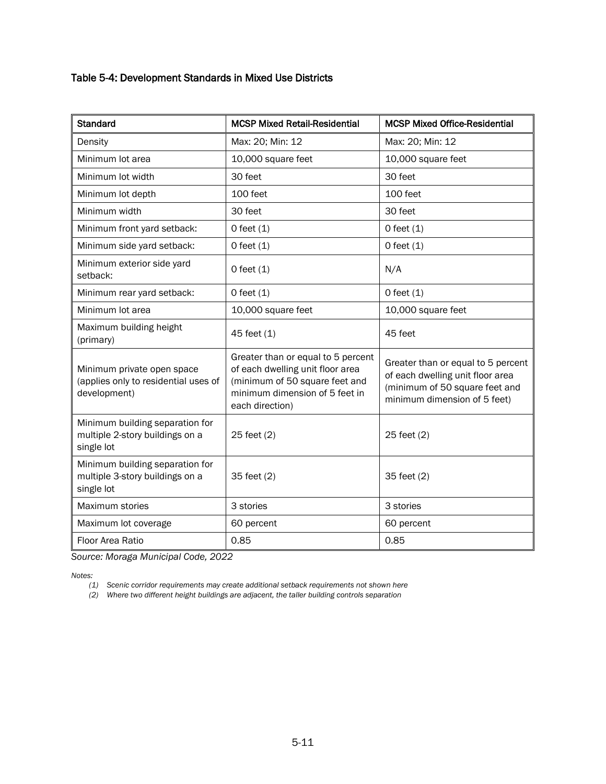#### Table 5-4: Development Standards in Mixed Use Districts

| <b>Standard</b>                                                                    | <b>MCSP Mixed Retail-Residential</b>                                                                                                                          | <b>MCSP Mixed Office-Residential</b>                                                                                                     |
|------------------------------------------------------------------------------------|---------------------------------------------------------------------------------------------------------------------------------------------------------------|------------------------------------------------------------------------------------------------------------------------------------------|
| Density                                                                            | Max: 20; Min: 12                                                                                                                                              | Max: 20; Min: 12                                                                                                                         |
| Minimum lot area                                                                   | 10,000 square feet                                                                                                                                            | 10,000 square feet                                                                                                                       |
| Minimum lot width                                                                  | 30 feet                                                                                                                                                       | 30 feet                                                                                                                                  |
| Minimum lot depth                                                                  | 100 feet                                                                                                                                                      | 100 feet                                                                                                                                 |
| Minimum width                                                                      | 30 feet                                                                                                                                                       | 30 feet                                                                                                                                  |
| Minimum front yard setback:                                                        | $O$ feet $(1)$                                                                                                                                                | $O$ feet $(1)$                                                                                                                           |
| Minimum side yard setback:                                                         | $0$ feet $(1)$                                                                                                                                                | $O$ feet $(1)$                                                                                                                           |
| Minimum exterior side yard<br>setback:                                             | $O$ feet $(1)$                                                                                                                                                | N/A                                                                                                                                      |
| Minimum rear yard setback:                                                         | $0$ feet $(1)$                                                                                                                                                | $O$ feet $(1)$                                                                                                                           |
| Minimum lot area                                                                   | 10,000 square feet                                                                                                                                            | 10,000 square feet                                                                                                                       |
| Maximum building height<br>(primary)                                               | 45 feet (1)                                                                                                                                                   | 45 feet                                                                                                                                  |
| Minimum private open space<br>(applies only to residential uses of<br>development) | Greater than or equal to 5 percent<br>of each dwelling unit floor area<br>(minimum of 50 square feet and<br>minimum dimension of 5 feet in<br>each direction) | Greater than or equal to 5 percent<br>of each dwelling unit floor area<br>(minimum of 50 square feet and<br>minimum dimension of 5 feet) |
| Minimum building separation for<br>multiple 2-story buildings on a<br>single lot   | 25 feet (2)                                                                                                                                                   | 25 feet (2)                                                                                                                              |
| Minimum building separation for<br>multiple 3-story buildings on a<br>single lot   | 35 feet (2)                                                                                                                                                   | 35 feet (2)                                                                                                                              |
| Maximum stories                                                                    | 3 stories                                                                                                                                                     | 3 stories                                                                                                                                |
| Maximum lot coverage                                                               | 60 percent                                                                                                                                                    | 60 percent                                                                                                                               |
| Floor Area Ratio                                                                   | 0.85                                                                                                                                                          | 0.85                                                                                                                                     |

*Source: Moraga Municipal Code, 2022*

*Notes:* 

*(1) Scenic corridor requirements may create additional setback requirements not shown here*

*(2) Where two different height buildings are adjacent, the taller building controls separation*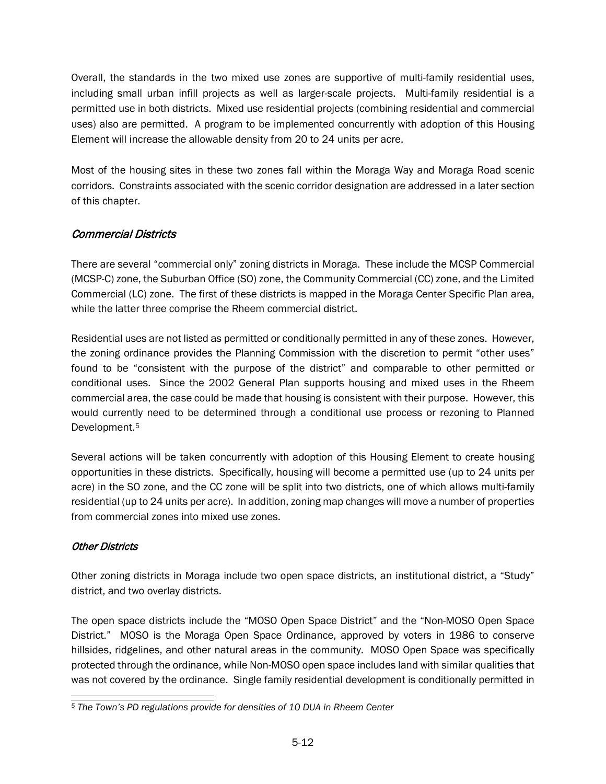Overall, the standards in the two mixed use zones are supportive of multi-family residential uses, including small urban infill projects as well as larger-scale projects. Multi-family residential is a permitted use in both districts. Mixed use residential projects (combining residential and commercial uses) also are permitted. A program to be implemented concurrently with adoption of this Housing Element will increase the allowable density from 20 to 24 units per acre.

Most of the housing sites in these two zones fall within the Moraga Way and Moraga Road scenic corridors. Constraints associated with the scenic corridor designation are addressed in a later section of this chapter.

## Commercial Districts

There are several "commercial only" zoning districts in Moraga. These include the MCSP Commercial (MCSP-C) zone, the Suburban Office (SO) zone, the Community Commercial (CC) zone, and the Limited Commercial (LC) zone. The first of these districts is mapped in the Moraga Center Specific Plan area, while the latter three comprise the Rheem commercial district.

Residential uses are not listed as permitted or conditionally permitted in any of these zones. However, the zoning ordinance provides the Planning Commission with the discretion to permit "other uses" found to be "consistent with the purpose of the district" and comparable to other permitted or conditional uses. Since the 2002 General Plan supports housing and mixed uses in the Rheem commercial area, the case could be made that housing is consistent with their purpose. However, this would currently need to be determined through a conditional use process or rezoning to Planned Development.[5](#page-19-0)

Several actions will be taken concurrently with adoption of this Housing Element to create housing opportunities in these districts. Specifically, housing will become a permitted use (up to 24 units per acre) in the SO zone, and the CC zone will be split into two districts, one of which allows multi-family residential (up to 24 units per acre). In addition, zoning map changes will move a number of properties from commercial zones into mixed use zones.

#### Other Districts

Other zoning districts in Moraga include two open space districts, an institutional district, a "Study" district, and two overlay districts.

The open space districts include the "MOSO Open Space District" and the "Non-MOSO Open Space District." MOSO is the Moraga Open Space Ordinance, approved by voters in 1986 to conserve hillsides, ridgelines, and other natural areas in the community. MOSO Open Space was specifically protected through the ordinance, while Non-MOSO open space includes land with similar qualities that was not covered by the ordinance. Single family residential development is conditionally permitted in

<span id="page-19-0"></span>*<sup>5</sup> The Town's PD regulations provide for densities of 10 DUA in Rheem Center*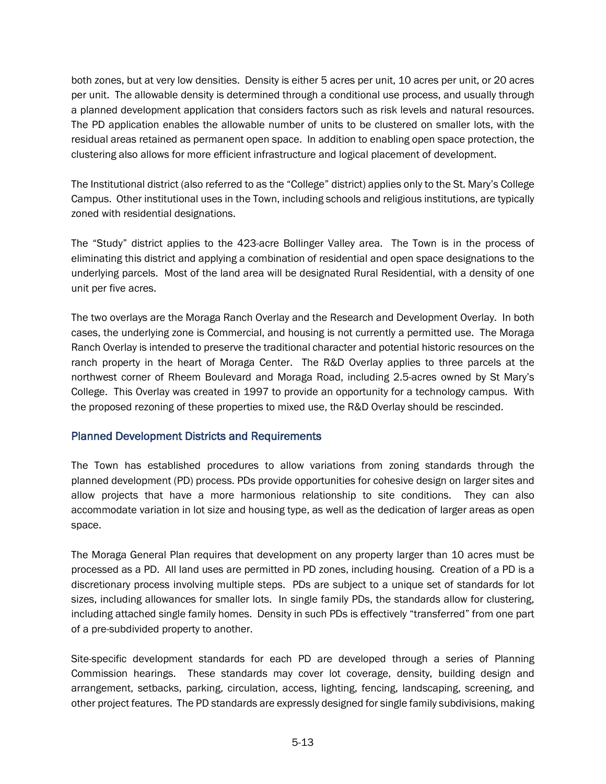both zones, but at very low densities. Density is either 5 acres per unit, 10 acres per unit, or 20 acres per unit. The allowable density is determined through a conditional use process, and usually through a planned development application that considers factors such as risk levels and natural resources. The PD application enables the allowable number of units to be clustered on smaller lots, with the residual areas retained as permanent open space. In addition to enabling open space protection, the clustering also allows for more efficient infrastructure and logical placement of development.

The Institutional district (also referred to as the "College" district) applies only to the St. Mary's College Campus. Other institutional uses in the Town, including schools and religious institutions, are typically zoned with residential designations.

The "Study" district applies to the 423-acre Bollinger Valley area. The Town is in the process of eliminating this district and applying a combination of residential and open space designations to the underlying parcels. Most of the land area will be designated Rural Residential, with a density of one unit per five acres.

The two overlays are the Moraga Ranch Overlay and the Research and Development Overlay. In both cases, the underlying zone is Commercial, and housing is not currently a permitted use. The Moraga Ranch Overlay is intended to preserve the traditional character and potential historic resources on the ranch property in the heart of Moraga Center. The R&D Overlay applies to three parcels at the northwest corner of Rheem Boulevard and Moraga Road, including 2.5-acres owned by St Mary's College. This Overlay was created in 1997 to provide an opportunity for a technology campus. With the proposed rezoning of these properties to mixed use, the R&D Overlay should be rescinded.

#### Planned Development Districts and Requirements

The Town has established procedures to allow variations from zoning standards through the planned development (PD) process. PDs provide opportunities for cohesive design on larger sites and allow projects that have a more harmonious relationship to site conditions. They can also accommodate variation in lot size and housing type, as well as the dedication of larger areas as open space.

The Moraga General Plan requires that development on any property larger than 10 acres must be processed as a PD. All land uses are permitted in PD zones, including housing. Creation of a PD is a discretionary process involving multiple steps. PDs are subject to a unique set of standards for lot sizes, including allowances for smaller lots. In single family PDs, the standards allow for clustering, including attached single family homes. Density in such PDs is effectively "transferred" from one part of a pre-subdivided property to another.

Site-specific development standards for each PD are developed through a series of Planning Commission hearings. These standards may cover lot coverage, density, building design and arrangement, setbacks, parking, circulation, access, lighting, fencing, landscaping, screening, and other project features. The PD standards are expressly designed for single family subdivisions, making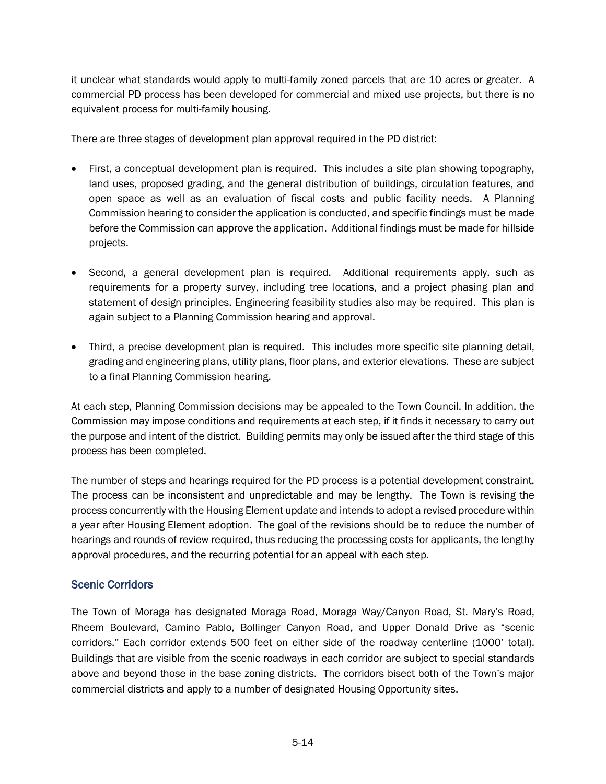it unclear what standards would apply to multi-family zoned parcels that are 10 acres or greater. A commercial PD process has been developed for commercial and mixed use projects, but there is no equivalent process for multi-family housing.

There are three stages of development plan approval required in the PD district:

- First, a conceptual development plan is required. This includes a site plan showing topography, land uses, proposed grading, and the general distribution of buildings, circulation features, and open space as well as an evaluation of fiscal costs and public facility needs. A Planning Commission hearing to consider the application is conducted, and specific findings must be made before the Commission can approve the application. Additional findings must be made for hillside projects.
- Second, a general development plan is required. Additional requirements apply, such as requirements for a property survey, including tree locations, and a project phasing plan and statement of design principles. Engineering feasibility studies also may be required. This plan is again subject to a Planning Commission hearing and approval.
- Third, a precise development plan is required. This includes more specific site planning detail, grading and engineering plans, utility plans, floor plans, and exterior elevations. These are subject to a final Planning Commission hearing.

At each step, Planning Commission decisions may be appealed to the Town Council. In addition, the Commission may impose conditions and requirements at each step, if it finds it necessary to carry out the purpose and intent of the district. Building permits may only be issued after the third stage of this process has been completed.

The number of steps and hearings required for the PD process is a potential development constraint. The process can be inconsistent and unpredictable and may be lengthy. The Town is revising the process concurrently with the Housing Element update and intends to adopt a revised procedure within a year after Housing Element adoption. The goal of the revisions should be to reduce the number of hearings and rounds of review required, thus reducing the processing costs for applicants, the lengthy approval procedures, and the recurring potential for an appeal with each step.

#### Scenic Corridors

The Town of Moraga has designated Moraga Road, Moraga Way/Canyon Road, St. Mary's Road, Rheem Boulevard, Camino Pablo, Bollinger Canyon Road, and Upper Donald Drive as "scenic corridors." Each corridor extends 500 feet on either side of the roadway centerline (1000' total). Buildings that are visible from the scenic roadways in each corridor are subject to special standards above and beyond those in the base zoning districts. The corridors bisect both of the Town's major commercial districts and apply to a number of designated Housing Opportunity sites.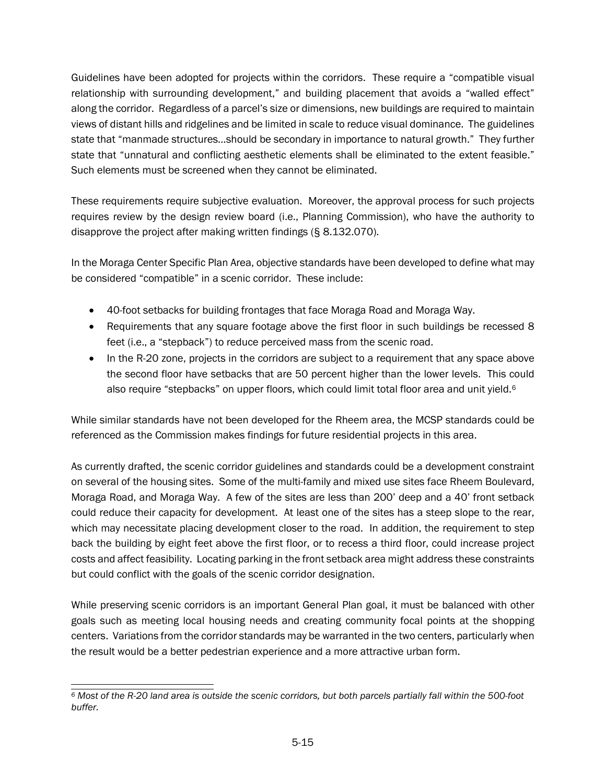Guidelines have been adopted for projects within the corridors. These require a "compatible visual relationship with surrounding development," and building placement that avoids a "walled effect" along the corridor. Regardless of a parcel's size or dimensions, new buildings are required to maintain views of distant hills and ridgelines and be limited in scale to reduce visual dominance. The guidelines state that "manmade structures…should be secondary in importance to natural growth." They further state that "unnatural and conflicting aesthetic elements shall be eliminated to the extent feasible." Such elements must be screened when they cannot be eliminated.

These requirements require subjective evaluation. Moreover, the approval process for such projects requires review by the design review board (i.e., Planning Commission), who have the authority to disapprove the project after making written findings (§ 8.132.070).

In the Moraga Center Specific Plan Area, objective standards have been developed to define what may be considered "compatible" in a scenic corridor. These include:

- 40-foot setbacks for building frontages that face Moraga Road and Moraga Way.
- Requirements that any square footage above the first floor in such buildings be recessed 8 feet (i.e., a "stepback") to reduce perceived mass from the scenic road.
- In the R-20 zone, projects in the corridors are subject to a requirement that any space above the second floor have setbacks that are 50 percent higher than the lower levels. This could also require "stepbacks" on upper floors, which could limit total floor area and unit yield.<sup>6</sup>

While similar standards have not been developed for the Rheem area, the MCSP standards could be referenced as the Commission makes findings for future residential projects in this area.

As currently drafted, the scenic corridor guidelines and standards could be a development constraint on several of the housing sites. Some of the multi-family and mixed use sites face Rheem Boulevard, Moraga Road, and Moraga Way. A few of the sites are less than 200' deep and a 40' front setback could reduce their capacity for development. At least one of the sites has a steep slope to the rear, which may necessitate placing development closer to the road. In addition, the requirement to step back the building by eight feet above the first floor, or to recess a third floor, could increase project costs and affect feasibility. Locating parking in the front setback area might address these constraints but could conflict with the goals of the scenic corridor designation.

While preserving scenic corridors is an important General Plan goal, it must be balanced with other goals such as meeting local housing needs and creating community focal points at the shopping centers. Variations from the corridor standards may be warranted in the two centers, particularly when the result would be a better pedestrian experience and a more attractive urban form.

<span id="page-22-0"></span>*<sup>6</sup> Most of the R-20 land area is outside the scenic corridors, but both parcels partially fall within the 500-foot buffer.*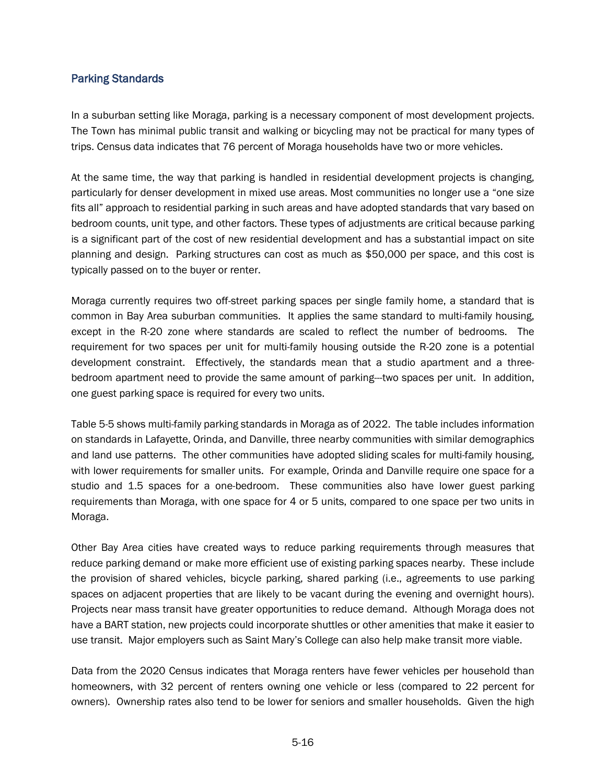#### Parking Standards

In a suburban setting like Moraga, parking is a necessary component of most development projects. The Town has minimal public transit and walking or bicycling may not be practical for many types of trips. Census data indicates that 76 percent of Moraga households have two or more vehicles.

At the same time, the way that parking is handled in residential development projects is changing, particularly for denser development in mixed use areas. Most communities no longer use a "one size fits all" approach to residential parking in such areas and have adopted standards that vary based on bedroom counts, unit type, and other factors. These types of adjustments are critical because parking is a significant part of the cost of new residential development and has a substantial impact on site planning and design. Parking structures can cost as much as \$50,000 per space, and this cost is typically passed on to the buyer or renter.

Moraga currently requires two off-street parking spaces per single family home, a standard that is common in Bay Area suburban communities. It applies the same standard to multi-family housing, except in the R-20 zone where standards are scaled to reflect the number of bedrooms. The requirement for two spaces per unit for multi-family housing outside the R-20 zone is a potential development constraint. Effectively, the standards mean that a studio apartment and a threebedroom apartment need to provide the same amount of parking---two spaces per unit. In addition, one guest parking space is required for every two units.

Table 5-5 shows multi-family parking standards in Moraga as of 2022. The table includes information on standards in Lafayette, Orinda, and Danville, three nearby communities with similar demographics and land use patterns. The other communities have adopted sliding scales for multi-family housing, with lower requirements for smaller units. For example, Orinda and Danville require one space for a studio and 1.5 spaces for a one-bedroom. These communities also have lower guest parking requirements than Moraga, with one space for 4 or 5 units, compared to one space per two units in Moraga.

Other Bay Area cities have created ways to reduce parking requirements through measures that reduce parking demand or make more efficient use of existing parking spaces nearby. These include the provision of shared vehicles, bicycle parking, shared parking (i.e., agreements to use parking spaces on adjacent properties that are likely to be vacant during the evening and overnight hours). Projects near mass transit have greater opportunities to reduce demand. Although Moraga does not have a BART station, new projects could incorporate shuttles or other amenities that make it easier to use transit. Major employers such as Saint Mary's College can also help make transit more viable.

Data from the 2020 Census indicates that Moraga renters have fewer vehicles per household than homeowners, with 32 percent of renters owning one vehicle or less (compared to 22 percent for owners). Ownership rates also tend to be lower for seniors and smaller households. Given the high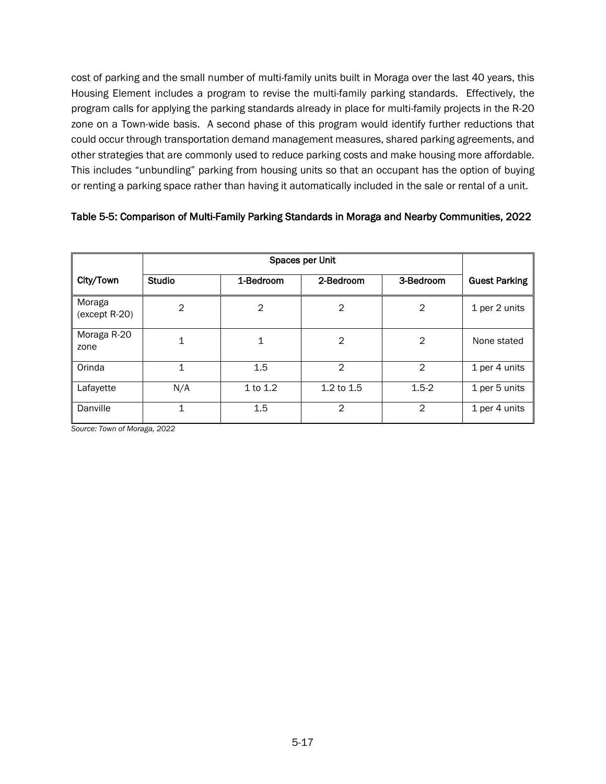cost of parking and the small number of multi-family units built in Moraga over the last 40 years, this Housing Element includes a program to revise the multi-family parking standards. Effectively, the program calls for applying the parking standards already in place for multi-family projects in the R-20 zone on a Town-wide basis. A second phase of this program would identify further reductions that could occur through transportation demand management measures, shared parking agreements, and other strategies that are commonly used to reduce parking costs and make housing more affordable. This includes "unbundling" parking from housing units so that an occupant has the option of buying or renting a parking space rather than having it automatically included in the sale or rental of a unit.

#### Table 5-5: Comparison of Multi-Family Parking Standards in Moraga and Nearby Communities, 2022

|                           | Spaces per Unit |                |                |           |                      |
|---------------------------|-----------------|----------------|----------------|-----------|----------------------|
| City/Town                 | <b>Studio</b>   | 1-Bedroom      | 2-Bedroom      | 3-Bedroom | <b>Guest Parking</b> |
| Moraga<br>$(except R-20)$ | $\overline{2}$  | $\overline{2}$ | 2              | 2         | 1 per 2 units        |
| Moraga R-20<br>zone       | 1               | 1              | $\overline{2}$ | 2         | None stated          |
| Orinda                    | $\mathbf{1}$    | 1.5            | $\mathcal{P}$  | 2         | 1 per 4 units        |
| Lafayette                 | N/A             | $1$ to $1.2$   | $1.2$ to $1.5$ | $1.5 - 2$ | 1 per 5 units        |
| Danville                  | 1               | 1.5            | 2              | 2         | 1 per 4 units        |

*Source: Town of Moraga, 2022*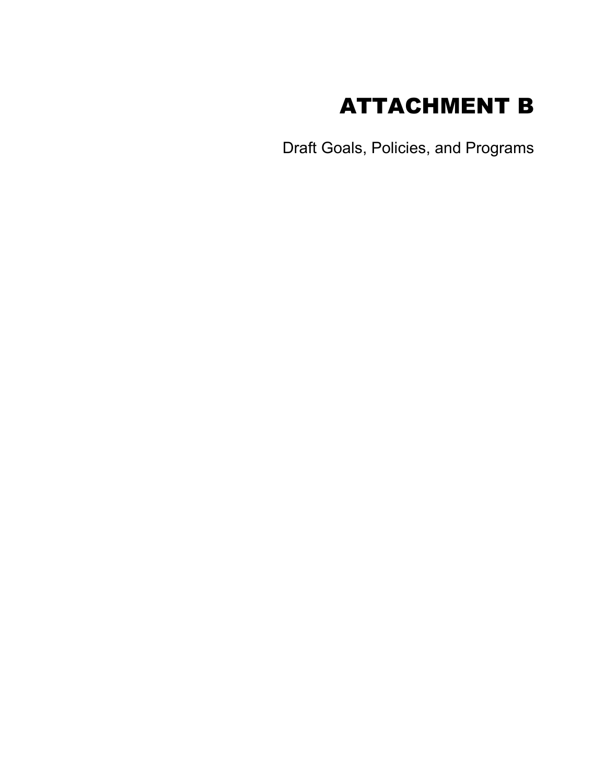

Draft Goals, Policies, and Programs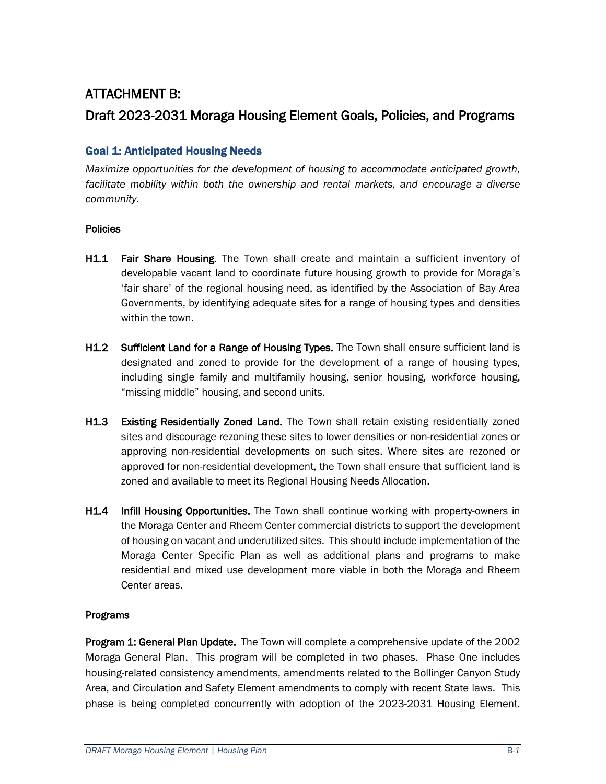## ATTACHMENT B: Draft 2023-2031 Moraga Housing Element Goals, Policies, and Programs

## Goal 1: Anticipated Housing Needs

*Maximize opportunities for the development of housing to accommodate anticipated growth, facilitate mobility within both the ownership and rental markets, and encourage a diverse community.*

#### Policies

- H1.1 Fair Share Housing. The Town shall create and maintain a sufficient inventory of developable vacant land to coordinate future housing growth to provide for Moraga's 'fair share' of the regional housing need, as identified by the Association of Bay Area Governments, by identifying adequate sites for a range of housing types and densities within the town.
- H1.2 Sufficient Land for a Range of Housing Types. The Town shall ensure sufficient land is designated and zoned to provide for the development of a range of housing types, including single family and multifamily housing, senior housing, workforce housing, "missing middle" housing, and second units.
- H1.3 Existing Residentially Zoned Land. The Town shall retain existing residentially zoned sites and discourage rezoning these sites to lower densities or non-residential zones or approving non-residential developments on such sites. Where sites are rezoned or approved for non-residential development, the Town shall ensure that sufficient land is zoned and available to meet its Regional Housing Needs Allocation.
- H<sub>1.4</sub> Infill Housing Opportunities. The Town shall continue working with property-owners in the Moraga Center and Rheem Center commercial districts to support the development of housing on vacant and underutilized sites. This should include implementation of the Moraga Center Specific Plan as well as additional plans and programs to make residential and mixed use development more viable in both the Moraga and Rheem Center areas.

#### Programs

Program 1: General Plan Update. The Town will complete a comprehensive update of the 2002 Moraga General Plan. This program will be completed in two phases. Phase One includes housing-related consistency amendments, amendments related to the Bollinger Canyon Study Area, and Circulation and Safety Element amendments to comply with recent State laws. This phase is being completed concurrently with adoption of the 2023-2031 Housing Element.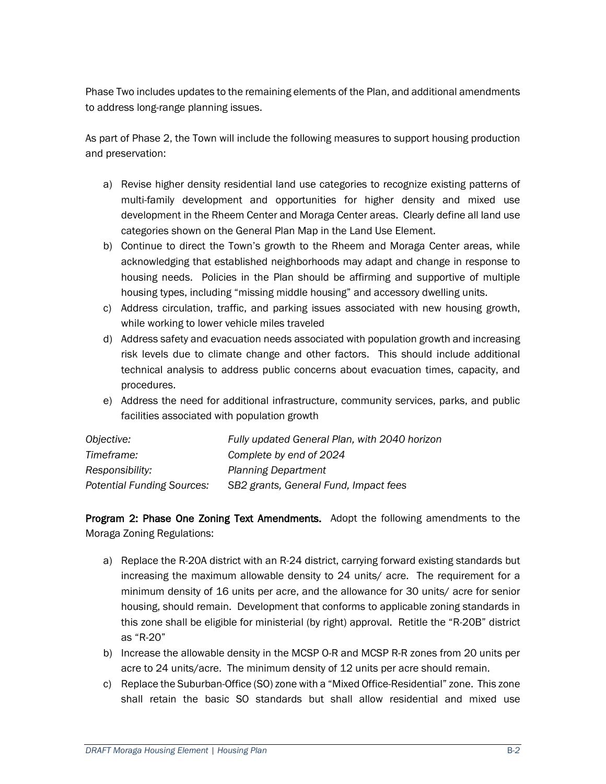Phase Two includes updates to the remaining elements of the Plan, and additional amendments to address long-range planning issues.

As part of Phase 2, the Town will include the following measures to support housing production and preservation:

- a) Revise higher density residential land use categories to recognize existing patterns of multi-family development and opportunities for higher density and mixed use development in the Rheem Center and Moraga Center areas. Clearly define all land use categories shown on the General Plan Map in the Land Use Element.
- b) Continue to direct the Town's growth to the Rheem and Moraga Center areas, while acknowledging that established neighborhoods may adapt and change in response to housing needs. Policies in the Plan should be affirming and supportive of multiple housing types, including "missing middle housing" and accessory dwelling units.
- c) Address circulation, traffic, and parking issues associated with new housing growth, while working to lower vehicle miles traveled
- d) Address safety and evacuation needs associated with population growth and increasing risk levels due to climate change and other factors. This should include additional technical analysis to address public concerns about evacuation times, capacity, and procedures.
- e) Address the need for additional infrastructure, community services, parks, and public facilities associated with population growth

| Objective:                        | Fully updated General Plan, with 2040 horizon |
|-----------------------------------|-----------------------------------------------|
| Timeframe:                        | Complete by end of 2024                       |
| Responsibility:                   | <b>Planning Department</b>                    |
| <b>Potential Funding Sources:</b> | SB2 grants, General Fund, Impact fees         |

Program 2: Phase One Zoning Text Amendments. Adopt the following amendments to the Moraga Zoning Regulations:

- a) Replace the R-20A district with an R-24 district, carrying forward existing standards but increasing the maximum allowable density to 24 units/ acre. The requirement for a minimum density of 16 units per acre, and the allowance for 30 units/ acre for senior housing, should remain. Development that conforms to applicable zoning standards in this zone shall be eligible for ministerial (by right) approval. Retitle the "R-20B" district as "R-20"
- b) Increase the allowable density in the MCSP O-R and MCSP R-R zones from 20 units per acre to 24 units/acre. The minimum density of 12 units per acre should remain.
- c) Replace the Suburban-Office (SO) zone with a "Mixed Office-Residential" zone. This zone shall retain the basic SO standards but shall allow residential and mixed use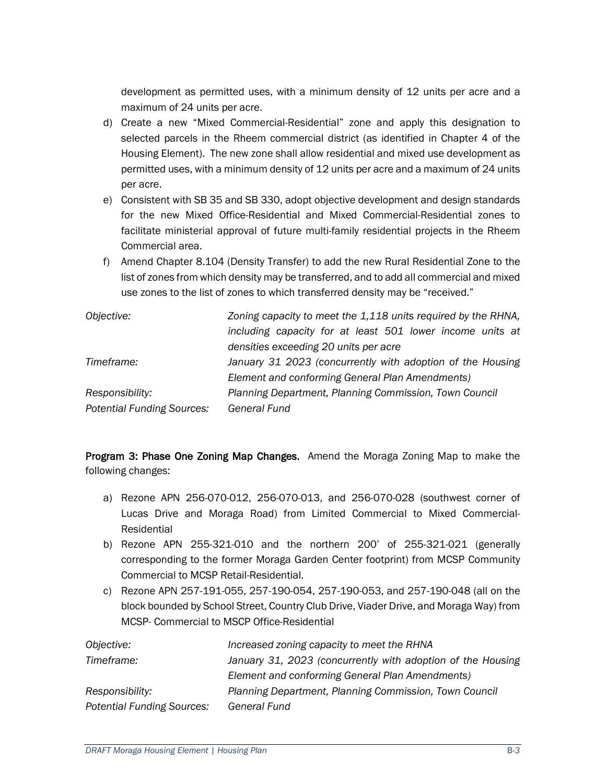development as permitted uses, with a minimum density of 12 units per acre and a maximum of 24 units per acre.

- d) Create a new "Mixed Commercial-Residential" zone and apply this designation to selected parcels in the Rheem commercial district (as identified in Chapter 4 of the Housing Element). The new zone shall allow residential and mixed use development as permitted uses, with a minimum density of 12 units per acre and a maximum of 24 units per acre.
- e) Consistent with SB 35 and SB 330, adopt objective development and design standards for the new Mixed Office-Residential and Mixed Commercial-Residential zones to facilitate ministerial approval of future multi-family residential projects in the Rheem Commercial area.
- f) Amend Chapter 8.104 (Density Transfer) to add the new Rural Residential Zone to the list of zones from which density may be transferred, and to add all commercial and mixed use zones to the list of zones to which transferred density may be "received."

| Objective:                        | Zoning capacity to meet the 1,118 units required by the RHNA, |
|-----------------------------------|---------------------------------------------------------------|
|                                   | including capacity for at least 501 lower income units at     |
|                                   | densities exceeding 20 units per acre                         |
| Timeframe:                        | January 31 2023 (concurrently with adoption of the Housing    |
|                                   | Element and conforming General Plan Amendments)               |
| Responsibility:                   | Planning Department, Planning Commission, Town Council        |
| <b>Potential Funding Sources:</b> | General Fund                                                  |

Program 3: Phase One Zoning Map Changes. Amend the Moraga Zoning Map to make the following changes:

- a) Rezone APN 256-070-012, 256-070-013, and 256-070-028 (southwest corner of Lucas Drive and Moraga Road) from Limited Commercial to Mixed Commercial-Residential
- b) Rezone APN 255-321-010 and the northern 200' of 255-321-021 (generally corresponding to the former Moraga Garden Center footprint) from MCSP Community Commercial to MCSP Retail-Residential.
- c) Rezone APN 257-191-055, 257-190-054, 257-190-053, and 257-190-048 (all on the block bounded by School Street, Country Club Drive, Viader Drive, and Moraga Way) from MCSP- Commercial to MSCP Office-Residential

| Objective:                        | Increased zoning capacity to meet the RHNA                  |
|-----------------------------------|-------------------------------------------------------------|
| Timeframe:                        | January 31, 2023 (concurrently with adoption of the Housing |
|                                   | Element and conforming General Plan Amendments)             |
| Responsibility:                   | Planning Department, Planning Commission, Town Council      |
| <b>Potential Funding Sources:</b> | General Fund                                                |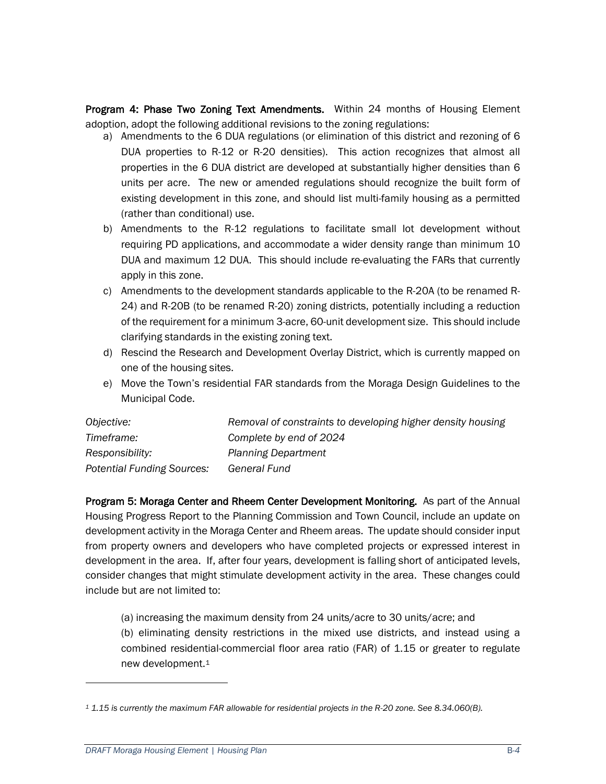Program 4: Phase Two Zoning Text Amendments. Within 24 months of Housing Element adoption, adopt the following additional revisions to the zoning regulations:

- a) Amendments to the 6 DUA regulations (or elimination of this district and rezoning of 6 DUA properties to R-12 or R-20 densities). This action recognizes that almost all properties in the 6 DUA district are developed at substantially higher densities than 6 units per acre. The new or amended regulations should recognize the built form of existing development in this zone, and should list multi-family housing as a permitted (rather than conditional) use.
- b) Amendments to the R-12 regulations to facilitate small lot development without requiring PD applications, and accommodate a wider density range than minimum 10 DUA and maximum 12 DUA. This should include re-evaluating the FARs that currently apply in this zone.
- c) Amendments to the development standards applicable to the R-20A (to be renamed R-24) and R-20B (to be renamed R-20) zoning districts, potentially including a reduction of the requirement for a minimum 3-acre, 60-unit development size. This should include clarifying standards in the existing zoning text.
- d) Rescind the Research and Development Overlay District, which is currently mapped on one of the housing sites.
- e) Move the Town's residential FAR standards from the Moraga Design Guidelines to the Municipal Code.

| Objective:                 | Removal of constraints to developing higher density housing |
|----------------------------|-------------------------------------------------------------|
| Timeframe:                 | Complete by end of 2024                                     |
| Responsibility:            | <b>Planning Department</b>                                  |
| Potential Funding Sources: | General Fund                                                |

Program 5: Moraga Center and Rheem Center Development Monitoring. As part of the Annual Housing Progress Report to the Planning Commission and Town Council, include an update on development activity in the Moraga Center and Rheem areas. The update should consider input from property owners and developers who have completed projects or expressed interest in development in the area. If, after four years, development is falling short of anticipated levels, consider changes that might stimulate development activity in the area. These changes could include but are not limited to:

(a) increasing the maximum density from 24 units/acre to 30 units/acre; and

(b) eliminating density restrictions in the mixed use districts, and instead using a combined residential-commercial floor area ratio (FAR) of 1.15 or greater to regulate new development.[1](#page-29-0)

<span id="page-29-0"></span>*<sup>1</sup> 1.15 is currently the maximum FAR allowable for residential projects in the R-20 zone. See 8.34.060(B).*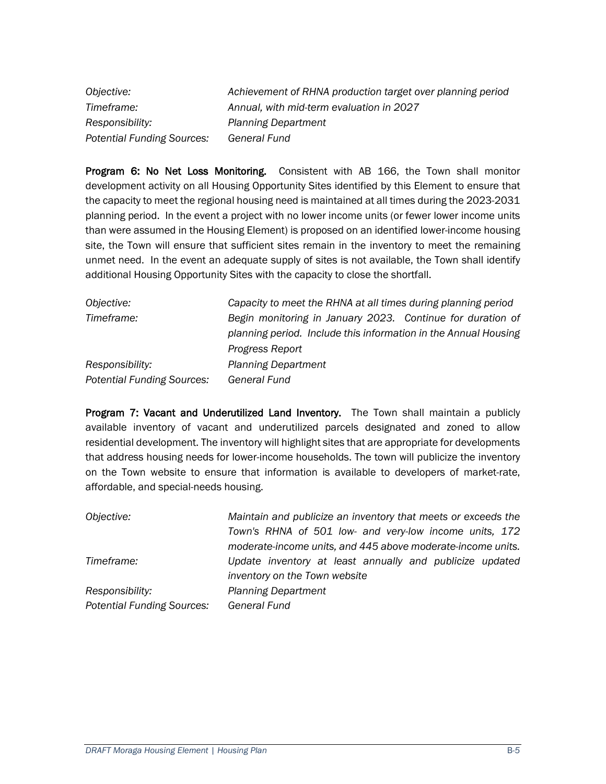*Objective: Achievement of RHNA production target over planning period Timeframe: Annual, with mid-term evaluation in 2027 Responsibility: Planning Department Potential Funding Sources: General Fund* 

Program 6: No Net Loss Monitoring. Consistent with AB 166, the Town shall monitor development activity on all Housing Opportunity Sites identified by this Element to ensure that the capacity to meet the regional housing need is maintained at all times during the 2023-2031 planning period. In the event a project with no lower income units (or fewer lower income units than were assumed in the Housing Element) is proposed on an identified lower-income housing site, the Town will ensure that sufficient sites remain in the inventory to meet the remaining unmet need. In the event an adequate supply of sites is not available, the Town shall identify additional Housing Opportunity Sites with the capacity to close the shortfall.

| Objective:                        | Capacity to meet the RHNA at all times during planning period   |  |
|-----------------------------------|-----------------------------------------------------------------|--|
| Timeframe:                        | Begin monitoring in January 2023. Continue for duration of      |  |
|                                   | planning period. Include this information in the Annual Housing |  |
|                                   | Progress Report                                                 |  |
| Responsibility:                   | <b>Planning Department</b>                                      |  |
| <b>Potential Funding Sources:</b> | <b>General Fund</b>                                             |  |

Program 7: Vacant and Underutilized Land Inventory. The Town shall maintain a publicly available inventory of vacant and underutilized parcels designated and zoned to allow residential development. The inventory will highlight sites that are appropriate for developments that address housing needs for lower-income households. The town will publicize the inventory on the Town website to ensure that information is available to developers of market-rate, affordable, and special-needs housing.

*Objective: Maintain and publicize an inventory that meets or exceeds the Town's RHNA of 501 low- and very-low income units, 172 moderate-income units, and 445 above moderate-income units. Timeframe: Update inventory at least annually and publicize updated inventory on the Town website Responsibility: Planning Department Potential Funding Sources: General Fund*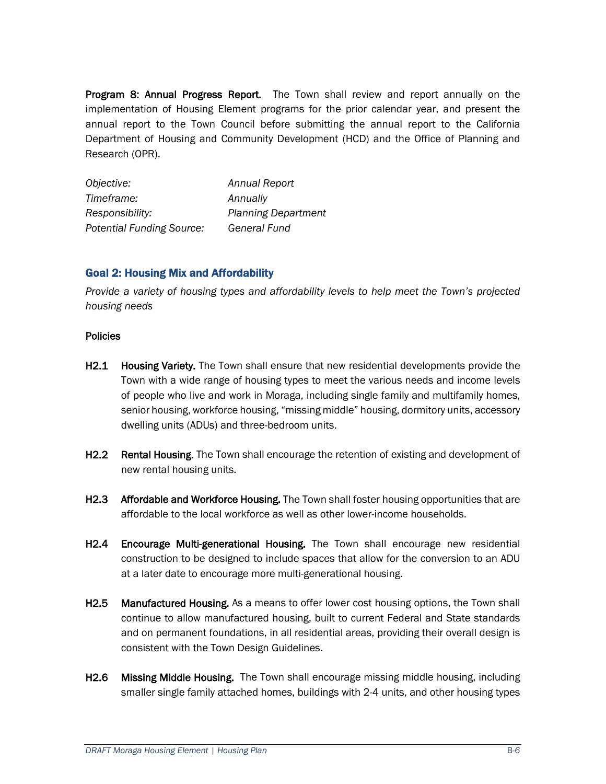**Program 8: Annual Progress Report.** The Town shall review and report annually on the implementation of Housing Element programs for the prior calendar year, and present the annual report to the Town Council before submitting the annual report to the California Department of Housing and Community Development (HCD) and the Office of Planning and Research (OPR).

*Objective: Annual Report Timeframe: Annually Responsibility: Planning Department Potential Funding Source: General Fund*

#### Goal 2: Housing Mix and Affordability

*Provide a variety of housing types and affordability levels to help meet the Town's projected housing needs*

#### **Policies**

- H2.1 Housing Variety. The Town shall ensure that new residential developments provide the Town with a wide range of housing types to meet the various needs and income levels of people who live and work in Moraga, including single family and multifamily homes, senior housing, workforce housing, "missing middle" housing, dormitory units, accessory dwelling units (ADUs) and three-bedroom units.
- H2.2 Rental Housing. The Town shall encourage the retention of existing and development of new rental housing units.
- H2.3 Affordable and Workforce Housing. The Town shall foster housing opportunities that are affordable to the local workforce as well as other lower-income households.
- H2.4 Encourage Multi-generational Housing. The Town shall encourage new residential construction to be designed to include spaces that allow for the conversion to an ADU at a later date to encourage more multi-generational housing.
- H2.5 Manufactured Housing. As a means to offer lower cost housing options, the Town shall continue to allow manufactured housing, built to current Federal and State standards and on permanent foundations, in all residential areas, providing their overall design is consistent with the Town Design Guidelines.
- H2.6 Missing Middle Housing. The Town shall encourage missing middle housing, including smaller single family attached homes, buildings with 2-4 units, and other housing types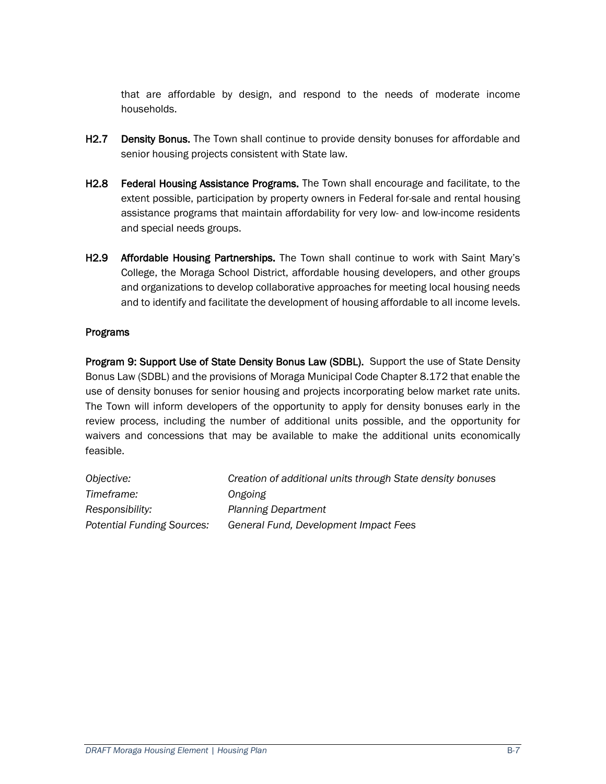that are affordable by design, and respond to the needs of moderate income households.

- **H2.7** Density Bonus. The Town shall continue to provide density bonuses for affordable and senior housing projects consistent with State law.
- H2.8 Federal Housing Assistance Programs. The Town shall encourage and facilitate, to the extent possible, participation by property owners in Federal for-sale and rental housing assistance programs that maintain affordability for very low- and low-income residents and special needs groups.
- H2.9 Affordable Housing Partnerships. The Town shall continue to work with Saint Mary's College, the Moraga School District, affordable housing developers, and other groups and organizations to develop collaborative approaches for meeting local housing needs and to identify and facilitate the development of housing affordable to all income levels.

#### Programs

Program 9: Support Use of State Density Bonus Law (SDBL). Support the use of State Density Bonus Law (SDBL) and the provisions of Moraga Municipal Code Chapter 8.172 that enable the use of density bonuses for senior housing and projects incorporating below market rate units. The Town will inform developers of the opportunity to apply for density bonuses early in the review process, including the number of additional units possible, and the opportunity for waivers and concessions that may be available to make the additional units economically feasible.

| Objective:                        | Creation of additional units through State density bonuses |
|-----------------------------------|------------------------------------------------------------|
| Timeframe:                        | Ongoing                                                    |
| Responsibility:                   | <b>Planning Department</b>                                 |
| <b>Potential Funding Sources:</b> | General Fund, Development Impact Fees                      |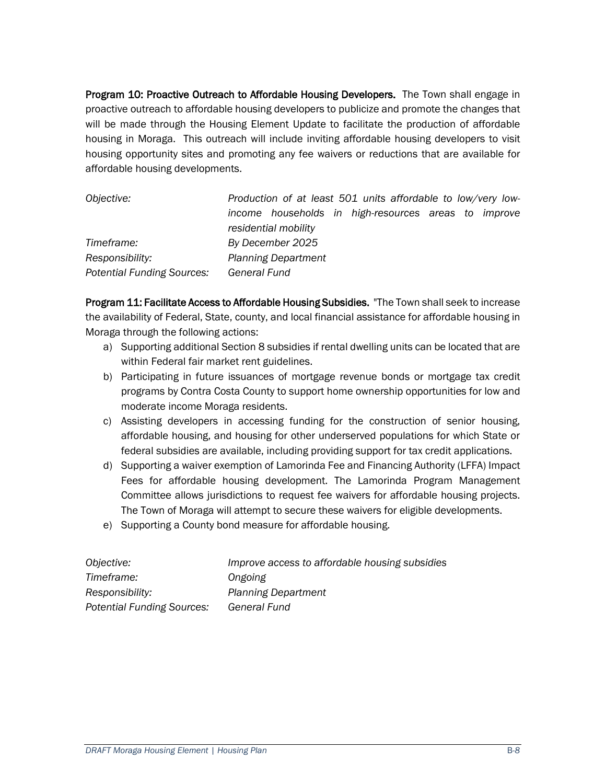Program 10: Proactive Outreach to Affordable Housing Developers. The Town shall engage in proactive outreach to affordable housing developers to publicize and promote the changes that will be made through the Housing Element Update to facilitate the production of affordable housing in Moraga. This outreach will include inviting affordable housing developers to visit housing opportunity sites and promoting any fee waivers or reductions that are available for affordable housing developments.

*Objective: Production of at least 501 units affordable to low/very lowincome households in high-resources areas to improve residential mobility Timeframe: By December 2025 Responsibility: Planning Department Potential Funding Sources: General Fund*

Program 11: Facilitate Access to Affordable Housing Subsidies. "The Town shall seek to increase the availability of Federal, State, county, and local financial assistance for affordable housing in Moraga through the following actions:

- a) Supporting additional Section 8 subsidies if rental dwelling units can be located that are within Federal fair market rent guidelines.
- b) Participating in future issuances of mortgage revenue bonds or mortgage tax credit programs by Contra Costa County to support home ownership opportunities for low and moderate income Moraga residents.
- c) Assisting developers in accessing funding for the construction of senior housing, affordable housing, and housing for other underserved populations for which State or federal subsidies are available, including providing support for tax credit applications.
- d) Supporting a waiver exemption of Lamorinda Fee and Financing Authority (LFFA) Impact Fees for affordable housing development. The Lamorinda Program Management Committee allows jurisdictions to request fee waivers for affordable housing projects. The Town of Moraga will attempt to secure these waivers for eligible developments.
- e) Supporting a County bond measure for affordable housing.

| Objective:                        | Improve access to affordable housing subsidies |
|-----------------------------------|------------------------------------------------|
| Timeframe:                        | Ongoing                                        |
| Responsibility:                   | <b>Planning Department</b>                     |
| <b>Potential Funding Sources:</b> | General Fund                                   |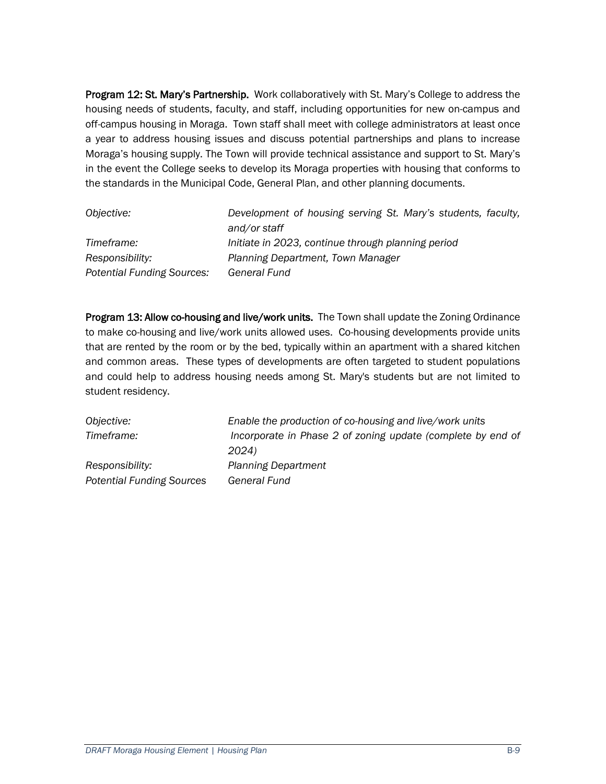Program 12: St. Mary's Partnership. Work collaboratively with St. Mary's College to address the housing needs of students, faculty, and staff, including opportunities for new on-campus and off-campus housing in Moraga. Town staff shall meet with college administrators at least once a year to address housing issues and discuss potential partnerships and plans to increase Moraga's housing supply. The Town will provide technical assistance and support to St. Mary's in the event the College seeks to develop its Moraga properties with housing that conforms to the standards in the Municipal Code, General Plan, and other planning documents.

| Objective:                        | Development of housing serving St. Mary's students, faculty,<br>and/or staff |
|-----------------------------------|------------------------------------------------------------------------------|
| Timeframe:                        | Initiate in 2023, continue through planning period                           |
| Responsibility:                   | Planning Department, Town Manager                                            |
| <b>Potential Funding Sources:</b> | General Fund                                                                 |

Program 13: Allow co-housing and live/work units. The Town shall update the Zoning Ordinance to make co-housing and live/work units allowed uses. Co-housing developments provide units that are rented by the room or by the bed, typically within an apartment with a shared kitchen and common areas. These types of developments are often targeted to student populations and could help to address housing needs among St. Mary's students but are not limited to student residency.

*Objective: Enable the production of co-housing and live/work units Timeframe: Incorporate in Phase 2 of zoning update (complete by end of 2024) Responsibility: Planning Department Potential Funding Sources General Fund*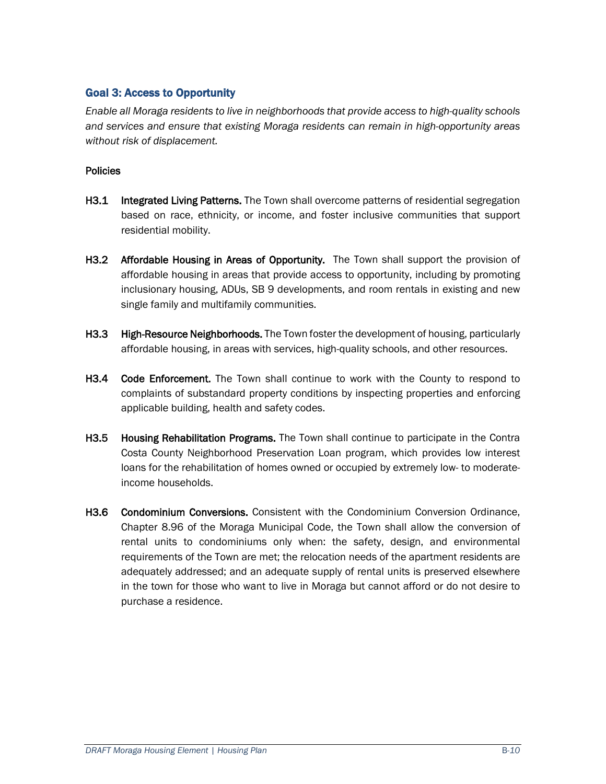#### Goal 3: Access to Opportunity

*Enable all Moraga residents to live in neighborhoods that provide access to high-quality schools and services and ensure that existing Moraga residents can remain in high-opportunity areas without risk of displacement.*

#### **Policies**

- **H3.1** Integrated Living Patterns. The Town shall overcome patterns of residential segregation based on race, ethnicity, or income, and foster inclusive communities that support residential mobility.
- H3.2 Affordable Housing in Areas of Opportunity. The Town shall support the provision of affordable housing in areas that provide access to opportunity, including by promoting inclusionary housing, ADUs, SB 9 developments, and room rentals in existing and new single family and multifamily communities.
- H3.3 High-Resource Neighborhoods. The Town foster the development of housing, particularly affordable housing, in areas with services, high-quality schools, and other resources.
- H3.4 Code Enforcement. The Town shall continue to work with the County to respond to complaints of substandard property conditions by inspecting properties and enforcing applicable building, health and safety codes.
- H3.5 Housing Rehabilitation Programs. The Town shall continue to participate in the Contra Costa County Neighborhood Preservation Loan program, which provides low interest loans for the rehabilitation of homes owned or occupied by extremely low- to moderateincome households.
- H3.6 Condominium Conversions. Consistent with the Condominium Conversion Ordinance, Chapter 8.96 of the Moraga Municipal Code, the Town shall allow the conversion of rental units to condominiums only when: the safety, design, and environmental requirements of the Town are met; the relocation needs of the apartment residents are adequately addressed; and an adequate supply of rental units is preserved elsewhere in the town for those who want to live in Moraga but cannot afford or do not desire to purchase a residence.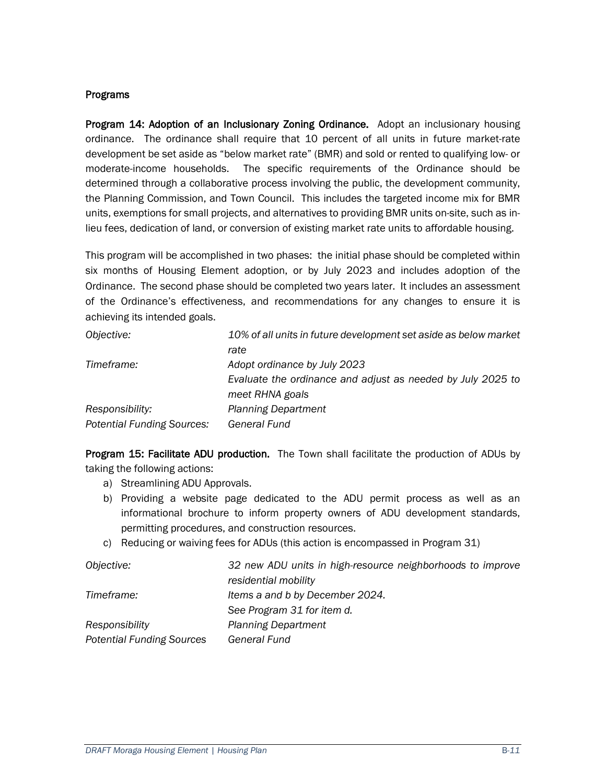#### Programs

Program 14: Adoption of an Inclusionary Zoning Ordinance. Adopt an inclusionary housing ordinance. The ordinance shall require that 10 percent of all units in future market-rate development be set aside as "below market rate" (BMR) and sold or rented to qualifying low- or moderate-income households. The specific requirements of the Ordinance should be determined through a collaborative process involving the public, the development community, the Planning Commission, and Town Council. This includes the targeted income mix for BMR units, exemptions for small projects, and alternatives to providing BMR units on-site, such as inlieu fees, dedication of land, or conversion of existing market rate units to affordable housing.

This program will be accomplished in two phases: the initial phase should be completed within six months of Housing Element adoption, or by July 2023 and includes adoption of the Ordinance. The second phase should be completed two years later. It includes an assessment of the Ordinance's effectiveness, and recommendations for any changes to ensure it is achieving its intended goals.

| Objective:                        | 10% of all units in future development set aside as below market |
|-----------------------------------|------------------------------------------------------------------|
|                                   | rate                                                             |
| Timeframe:                        | Adopt ordinance by July 2023                                     |
|                                   | Evaluate the ordinance and adjust as needed by July 2025 to      |
|                                   | meet RHNA goals                                                  |
| Responsibility:                   | <b>Planning Department</b>                                       |
| <b>Potential Funding Sources:</b> | <b>General Fund</b>                                              |

Program 15: Facilitate ADU production. The Town shall facilitate the production of ADUs by taking the following actions:

- a) Streamlining ADU Approvals.
- b) Providing a website page dedicated to the ADU permit process as well as an informational brochure to inform property owners of ADU development standards, permitting procedures, and construction resources.
- c) Reducing or waiving fees for ADUs (this action is encompassed in Program 31)

| Objective:                       | 32 new ADU units in high-resource neighborhoods to improve |
|----------------------------------|------------------------------------------------------------|
|                                  | residential mobility                                       |
| Timeframe:                       | Items a and b by December 2024.                            |
|                                  | See Program 31 for item d.                                 |
| Responsibility                   | <b>Planning Department</b>                                 |
| <b>Potential Funding Sources</b> | <b>General Fund</b>                                        |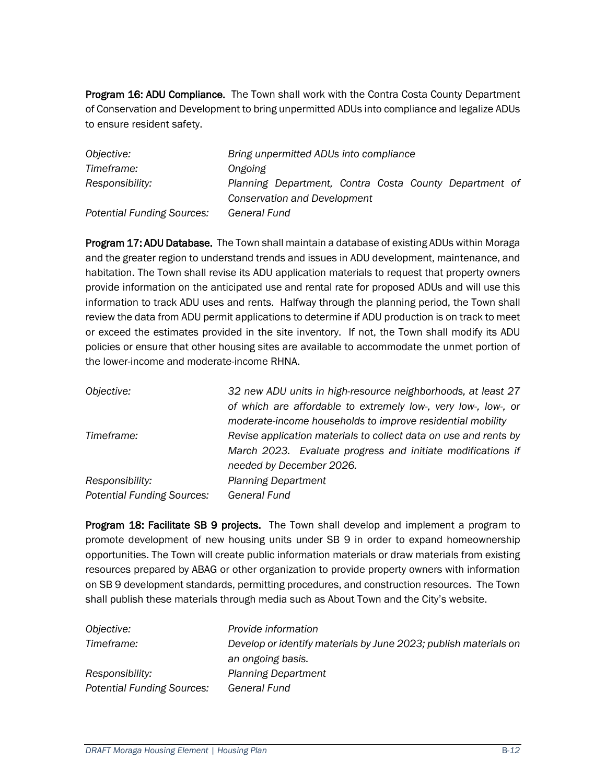**Program 16: ADU Compliance.** The Town shall work with the Contra Costa County Department of Conservation and Development to bring unpermitted ADUs into compliance and legalize ADUs to ensure resident safety.

| Objective:                        | Bring unpermitted ADUs into compliance                 |
|-----------------------------------|--------------------------------------------------------|
| Timeframe:                        | Ongoing                                                |
| Responsibility:                   | Planning Department, Contra Costa County Department of |
|                                   | <b>Conservation and Development</b>                    |
| <b>Potential Funding Sources:</b> | <b>General Fund</b>                                    |

Program 17: ADU Database. The Town shall maintain a database of existing ADUs within Moraga and the greater region to understand trends and issues in ADU development, maintenance, and habitation. The Town shall revise its ADU application materials to request that property owners provide information on the anticipated use and rental rate for proposed ADUs and will use this information to track ADU uses and rents. Halfway through the planning period, the Town shall review the data from ADU permit applications to determine if ADU production is on track to meet or exceed the estimates provided in the site inventory. If not, the Town shall modify its ADU policies or ensure that other housing sites are available to accommodate the unmet portion of the lower-income and moderate-income RHNA.

| Objective:                        | 32 new ADU units in high-resource neighborhoods, at least 27     |
|-----------------------------------|------------------------------------------------------------------|
|                                   | of which are affordable to extremely low-, very low-, low-, or   |
|                                   | moderate-income households to improve residential mobility       |
| Timeframe:                        | Revise application materials to collect data on use and rents by |
|                                   | March 2023. Evaluate progress and initiate modifications if      |
|                                   | needed by December 2026.                                         |
| Responsibility:                   | <b>Planning Department</b>                                       |
| <b>Potential Funding Sources:</b> | General Fund                                                     |
|                                   |                                                                  |

**Program 18: Facilitate SB 9 projects.** The Town shall develop and implement a program to promote development of new housing units under SB 9 in order to expand homeownership opportunities. The Town will create public information materials or draw materials from existing resources prepared by ABAG or other organization to provide property owners with information on SB 9 development standards, permitting procedures, and construction resources. The Town shall publish these materials through media such as About Town and the City's website.

| Objective:                        | Provide information                                              |
|-----------------------------------|------------------------------------------------------------------|
| Timeframe:                        | Develop or identify materials by June 2023; publish materials on |
|                                   | an ongoing basis.                                                |
| Responsibility:                   | <b>Planning Department</b>                                       |
| <b>Potential Funding Sources:</b> | General Fund                                                     |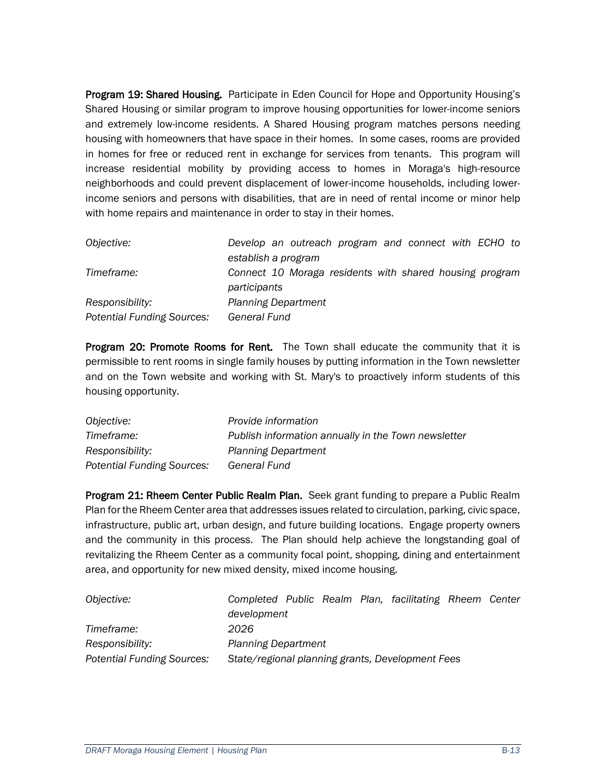Program 19: Shared Housing. Participate in Eden Council for Hope and Opportunity Housing's Shared Housing or similar program to improve housing opportunities for lower-income seniors and extremely low-income residents. A Shared Housing program matches persons needing housing with homeowners that have space in their homes. In some cases, rooms are provided in homes for free or reduced rent in exchange for services from tenants. This program will increase residential mobility by providing access to homes in Moraga's high-resource neighborhoods and could prevent displacement of lower-income households, including lowerincome seniors and persons with disabilities, that are in need of rental income or minor help with home repairs and maintenance in order to stay in their homes.

| Objective:                        | Develop an outreach program and connect with ECHO to                    |
|-----------------------------------|-------------------------------------------------------------------------|
|                                   | establish a program                                                     |
| Timeframe:                        | Connect 10 Moraga residents with shared housing program<br>participants |
| Responsibility:                   | <b>Planning Department</b>                                              |
| <b>Potential Funding Sources:</b> | General Fund                                                            |

Program 20: Promote Rooms for Rent. The Town shall educate the community that it is permissible to rent rooms in single family houses by putting information in the Town newsletter and on the Town website and working with St. Mary's to proactively inform students of this housing opportunity.

| Objective:                        | Provide information                                 |
|-----------------------------------|-----------------------------------------------------|
| Timeframe:                        | Publish information annually in the Town newsletter |
| Responsibility:                   | <b>Planning Department</b>                          |
| <b>Potential Funding Sources:</b> | General Fund                                        |

Program 21: Rheem Center Public Realm Plan. Seek grant funding to prepare a Public Realm Plan for the Rheem Center area that addresses issues related to circulation, parking, civic space, infrastructure, public art, urban design, and future building locations. Engage property owners and the community in this process. The Plan should help achieve the longstanding goal of revitalizing the Rheem Center as a community focal point, shopping, dining and entertainment area, and opportunity for new mixed density, mixed income housing.

| Objective:                        | Completed Public Realm Plan, facilitating Rheem Center |  |  |  |
|-----------------------------------|--------------------------------------------------------|--|--|--|
|                                   | development                                            |  |  |  |
| Timeframe:                        | 2026                                                   |  |  |  |
| Responsibility:                   | <b>Planning Department</b>                             |  |  |  |
| <b>Potential Funding Sources:</b> | State/regional planning grants, Development Fees       |  |  |  |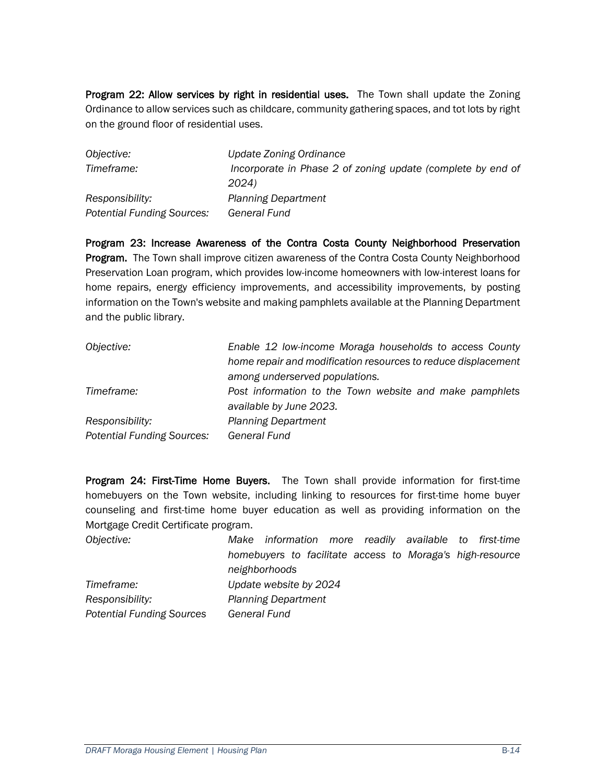Program 22: Allow services by right in residential uses. The Town shall update the Zoning Ordinance to allow services such as childcare, community gathering spaces, and tot lots by right on the ground floor of residential uses.

| Objective:                        | Update Zoning Ordinance                                     |
|-----------------------------------|-------------------------------------------------------------|
| Timeframe:                        | Incorporate in Phase 2 of zoning update (complete by end of |
|                                   | 2024)                                                       |
| Responsibility:                   | <b>Planning Department</b>                                  |
| <b>Potential Funding Sources:</b> | General Fund                                                |

Program 23: Increase Awareness of the Contra Costa County Neighborhood Preservation **Program.** The Town shall improve citizen awareness of the Contra Costa County Neighborhood Preservation Loan program, which provides low-income homeowners with low-interest loans for home repairs, energy efficiency improvements, and accessibility improvements, by posting information on the Town's website and making pamphlets available at the Planning Department and the public library.

| Objective:                        | Enable 12 low-income Moraga households to access County       |
|-----------------------------------|---------------------------------------------------------------|
|                                   | home repair and modification resources to reduce displacement |
|                                   | among underserved populations.                                |
| Timeframe:                        | Post information to the Town website and make pamphlets       |
|                                   | available by June 2023.                                       |
| Responsibility:                   | <b>Planning Department</b>                                    |
| <b>Potential Funding Sources:</b> | <b>General Fund</b>                                           |

Program 24: First-Time Home Buyers. The Town shall provide information for first-time homebuyers on the Town website, including linking to resources for first-time home buyer counseling and first-time home buyer education as well as providing information on the Mortgage Credit Certificate program.

| Objective:                       | Make information more readily available to first-time     |
|----------------------------------|-----------------------------------------------------------|
|                                  | homebuyers to facilitate access to Moraga's high-resource |
|                                  | neighborhoods                                             |
| Timeframe:                       | Update website by 2024                                    |
| Responsibility:                  | <b>Planning Department</b>                                |
| <b>Potential Funding Sources</b> | General Fund                                              |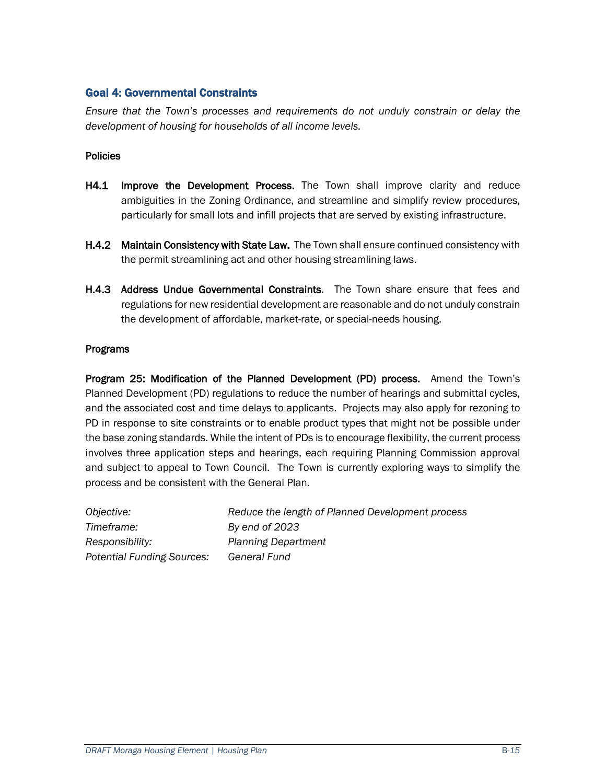#### Goal 4: Governmental Constraints

*Ensure that the Town's processes and requirements do not unduly constrain or delay the development of housing for households of all income levels.*

#### **Policies**

- H4.1 Improve the Development Process. The Town shall improve clarity and reduce ambiguities in the Zoning Ordinance, and streamline and simplify review procedures, particularly for small lots and infill projects that are served by existing infrastructure.
- H.4.2 Maintain Consistency with State Law. The Town shall ensure continued consistency with the permit streamlining act and other housing streamlining laws.
- H.4.3 Address Undue Governmental Constraints. The Town share ensure that fees and regulations for new residential development are reasonable and do not unduly constrain the development of affordable, market-rate, or special-needs housing.

#### Programs

Program 25: Modification of the Planned Development (PD) process. Amend the Town's Planned Development (PD) regulations to reduce the number of hearings and submittal cycles, and the associated cost and time delays to applicants. Projects may also apply for rezoning to PD in response to site constraints or to enable product types that might not be possible under the base zoning standards. While the intent of PDs is to encourage flexibility, the current process involves three application steps and hearings, each requiring Planning Commission approval and subject to appeal to Town Council. The Town is currently exploring ways to simplify the process and be consistent with the General Plan.

| <i>Objective:</i>                 | Reduce the length of Planned Development process |
|-----------------------------------|--------------------------------------------------|
| Timeframe:                        | By end of 2023                                   |
| Responsibility:                   | <b>Planning Department</b>                       |
| <b>Potential Funding Sources:</b> | General Fund                                     |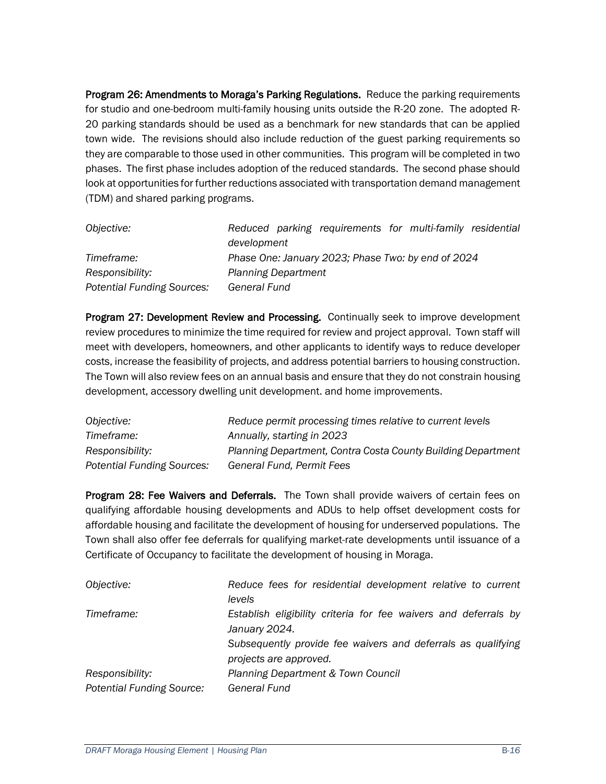Program 26: Amendments to Moraga's Parking Regulations. Reduce the parking requirements for studio and one-bedroom multi-family housing units outside the R-20 zone. The adopted R-20 parking standards should be used as a benchmark for new standards that can be applied town wide. The revisions should also include reduction of the guest parking requirements so they are comparable to those used in other communities. This program will be completed in two phases. The first phase includes adoption of the reduced standards. The second phase should look at opportunities for further reductions associated with transportation demand management (TDM) and shared parking programs.

| Objective:                        | Reduced parking requirements for multi-family residential |  |  |
|-----------------------------------|-----------------------------------------------------------|--|--|
|                                   | development                                               |  |  |
| Timeframe:                        | Phase One: January 2023; Phase Two: by end of 2024        |  |  |
| Responsibility:                   | <b>Planning Department</b>                                |  |  |
| <b>Potential Funding Sources:</b> | General Fund                                              |  |  |

Program 27: Development Review and Processing. Continually seek to improve development review procedures to minimize the time required for review and project approval. Town staff will meet with developers, homeowners, and other applicants to identify ways to reduce developer costs, increase the feasibility of projects, and address potential barriers to housing construction. The Town will also review fees on an annual basis and ensure that they do not constrain housing development, accessory dwelling unit development. and home improvements.

| Objective:                        | Reduce permit processing times relative to current levels    |
|-----------------------------------|--------------------------------------------------------------|
| Timeframe:                        | Annually, starting in 2023                                   |
| Responsibility:                   | Planning Department, Contra Costa County Building Department |
| <b>Potential Funding Sources:</b> | General Fund, Permit Fees                                    |

Program 28: Fee Waivers and Deferrals. The Town shall provide waivers of certain fees on qualifying affordable housing developments and ADUs to help offset development costs for affordable housing and facilitate the development of housing for underserved populations. The Town shall also offer fee deferrals for qualifying market-rate developments until issuance of a Certificate of Occupancy to facilitate the development of housing in Moraga.

| Objective:                                          | Reduce fees for residential development relative to current<br>levels                  |
|-----------------------------------------------------|----------------------------------------------------------------------------------------|
| Timeframe:                                          | Establish eligibility criteria for fee waivers and deferrals by<br>January 2024.       |
|                                                     | Subsequently provide fee waivers and deferrals as qualifying<br>projects are approved. |
| Responsibility:<br><b>Potential Funding Source:</b> | Planning Department & Town Council<br>General Fund                                     |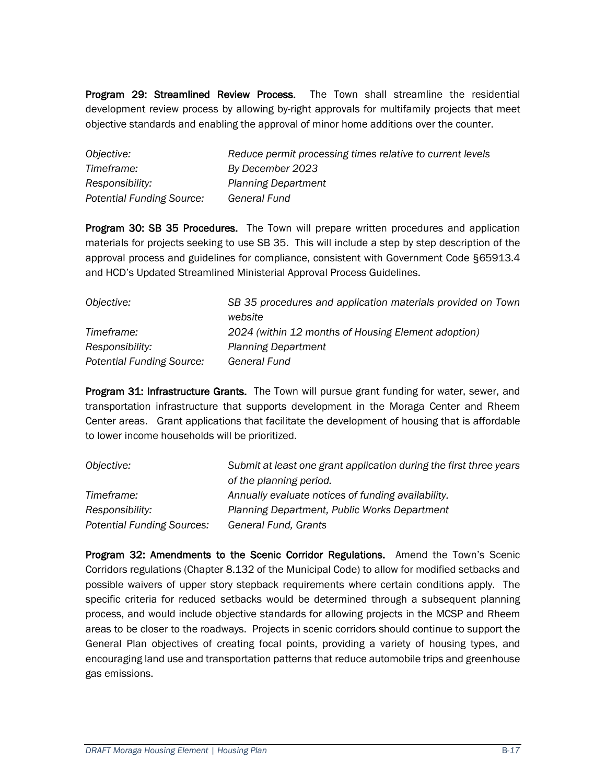Program 29: Streamlined Review Process. The Town shall streamline the residential development review process by allowing by-right approvals for multifamily projects that meet objective standards and enabling the approval of minor home additions over the counter.

| Objective:                       | Reduce permit processing times relative to current levels |
|----------------------------------|-----------------------------------------------------------|
| Timeframe:                       | By December 2023                                          |
| Responsibility:                  | <b>Planning Department</b>                                |
| <b>Potential Funding Source:</b> | General Fund                                              |

Program 30: SB 35 Procedures. The Town will prepare written procedures and application materials for projects seeking to use SB 35. This will include a step by step description of the approval process and guidelines for compliance, consistent with Government Code §65913.4 and HCD's Updated Streamlined Ministerial Approval Process Guidelines.

| Objective:                       | SB 35 procedures and application materials provided on Town |
|----------------------------------|-------------------------------------------------------------|
|                                  | website                                                     |
| Timeframe:                       | 2024 (within 12 months of Housing Element adoption)         |
| Responsibility:                  | <b>Planning Department</b>                                  |
| <b>Potential Funding Source:</b> | <b>General Fund</b>                                         |

Program 31: Infrastructure Grants. The Town will pursue grant funding for water, sewer, and transportation infrastructure that supports development in the Moraga Center and Rheem Center areas. Grant applications that facilitate the development of housing that is affordable to lower income households will be prioritized.

| Objective:                        | Submit at least one grant application during the first three years |
|-----------------------------------|--------------------------------------------------------------------|
|                                   | of the planning period.                                            |
| Timeframe:                        | Annually evaluate notices of funding availability.                 |
| Responsibility:                   | Planning Department, Public Works Department                       |
| <b>Potential Funding Sources:</b> | General Fund, Grants                                               |

Program 32: Amendments to the Scenic Corridor Regulations. Amend the Town's Scenic Corridors regulations (Chapter 8.132 of the Municipal Code) to allow for modified setbacks and possible waivers of upper story stepback requirements where certain conditions apply. The specific criteria for reduced setbacks would be determined through a subsequent planning process, and would include objective standards for allowing projects in the MCSP and Rheem areas to be closer to the roadways. Projects in scenic corridors should continue to support the General Plan objectives of creating focal points, providing a variety of housing types, and encouraging land use and transportation patterns that reduce automobile trips and greenhouse gas emissions.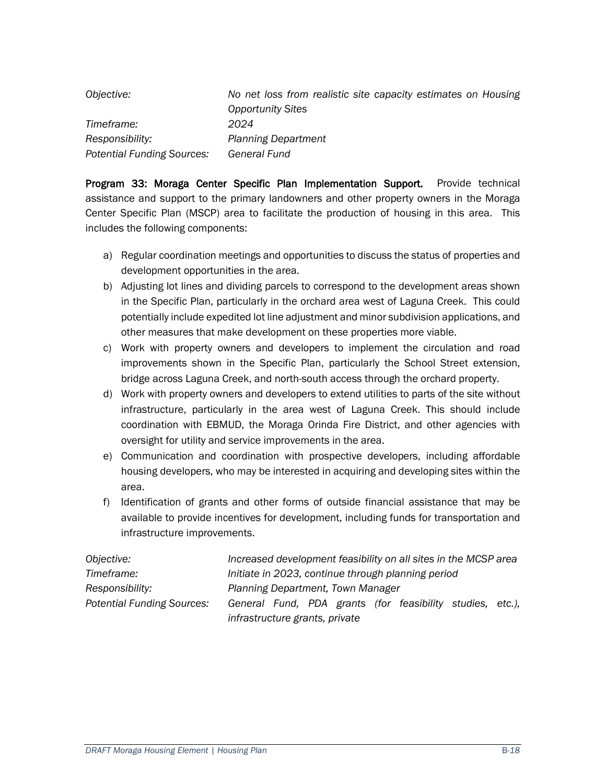| Objective:                 | No net loss from realistic site capacity estimates on Housing |
|----------------------------|---------------------------------------------------------------|
|                            | <b>Opportunity Sites</b>                                      |
| Timeframe:                 | 2024                                                          |
| Responsibility:            | <b>Planning Department</b>                                    |
| Potential Funding Sources: | General Fund                                                  |

Program 33: Moraga Center Specific Plan Implementation Support. Provide technical assistance and support to the primary landowners and other property owners in the Moraga Center Specific Plan (MSCP) area to facilitate the production of housing in this area. This includes the following components:

- a) Regular coordination meetings and opportunities to discuss the status of properties and development opportunities in the area.
- b) Adjusting lot lines and dividing parcels to correspond to the development areas shown in the Specific Plan, particularly in the orchard area west of Laguna Creek. This could potentially include expedited lot line adjustment and minor subdivision applications, and other measures that make development on these properties more viable.
- c) Work with property owners and developers to implement the circulation and road improvements shown in the Specific Plan, particularly the School Street extension, bridge across Laguna Creek, and north-south access through the orchard property.
- d) Work with property owners and developers to extend utilities to parts of the site without infrastructure, particularly in the area west of Laguna Creek. This should include coordination with EBMUD, the Moraga Orinda Fire District, and other agencies with oversight for utility and service improvements in the area.
- e) Communication and coordination with prospective developers, including affordable housing developers, who may be interested in acquiring and developing sites within the area.
- f) Identification of grants and other forms of outside financial assistance that may be available to provide incentives for development, including funds for transportation and infrastructure improvements.

| Objective:                        | Increased development feasibility on all sites in the MCSP area |
|-----------------------------------|-----------------------------------------------------------------|
| Timeframe:                        | Initiate in 2023, continue through planning period              |
| Responsibility:                   | Planning Department, Town Manager                               |
| <b>Potential Funding Sources:</b> | General Fund, PDA grants (for feasibility studies, etc.),       |
|                                   | infrastructure grants, private                                  |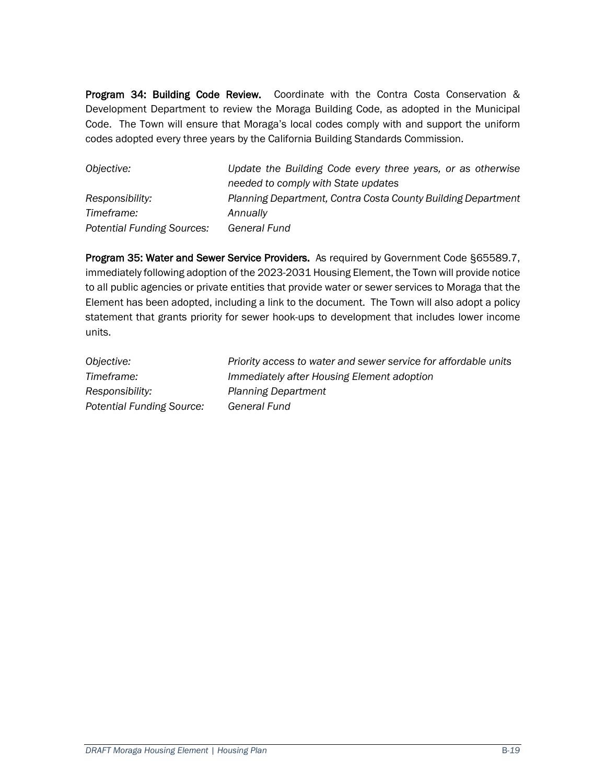Program 34: Building Code Review. Coordinate with the Contra Costa Conservation & Development Department to review the Moraga Building Code, as adopted in the Municipal Code. The Town will ensure that Moraga's local codes comply with and support the uniform codes adopted every three years by the California Building Standards Commission.

| Objective:                        | Update the Building Code every three years, or as otherwise  |
|-----------------------------------|--------------------------------------------------------------|
|                                   | needed to comply with State updates                          |
| Responsibility:                   | Planning Department, Contra Costa County Building Department |
| Timeframe:                        | Annually                                                     |
| <b>Potential Funding Sources:</b> | General Fund                                                 |

Program 35: Water and Sewer Service Providers. As required by Government Code §65589.7, immediately following adoption of the 2023-2031 Housing Element, the Town will provide notice to all public agencies or private entities that provide water or sewer services to Moraga that the Element has been adopted, including a link to the document. The Town will also adopt a policy statement that grants priority for sewer hook-ups to development that includes lower income units.

| Objective:                       | Priority access to water and sewer service for affordable units |
|----------------------------------|-----------------------------------------------------------------|
| Timeframe:                       | Immediately after Housing Element adoption                      |
| Responsibility:                  | <b>Planning Department</b>                                      |
| <b>Potential Funding Source:</b> | <b>General Fund</b>                                             |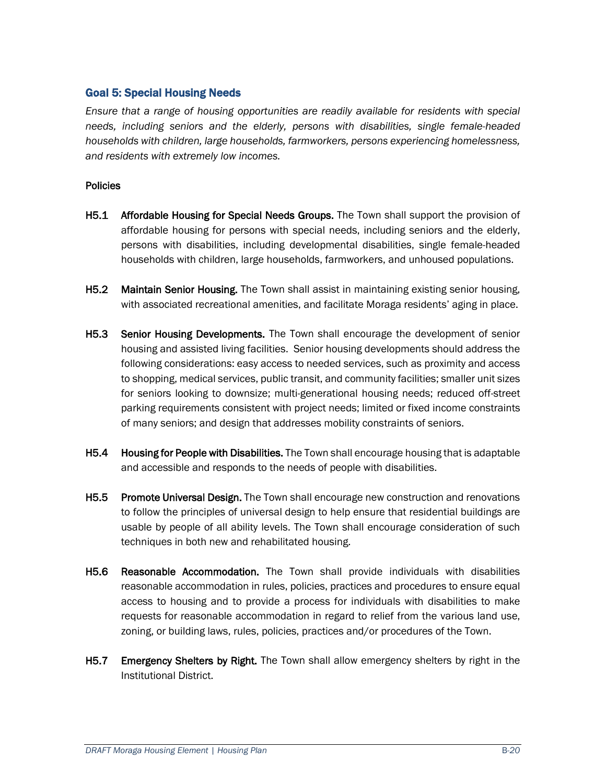#### Goal 5: Special Housing Needs

*Ensure that a range of housing opportunities are readily available for residents with special needs, including seniors and the elderly, persons with disabilities, single female-headed households with children, large households, farmworkers, persons experiencing homelessness, and residents with extremely low incomes.*

#### Policies

- H5.1 Affordable Housing for Special Needs Groups. The Town shall support the provision of affordable housing for persons with special needs, including seniors and the elderly, persons with disabilities, including developmental disabilities, single female-headed households with children, large households, farmworkers, and unhoused populations.
- H5.2 Maintain Senior Housing. The Town shall assist in maintaining existing senior housing, with associated recreational amenities, and facilitate Moraga residents' aging in place.
- H5.3 Senior Housing Developments. The Town shall encourage the development of senior housing and assisted living facilities. Senior housing developments should address the following considerations: easy access to needed services, such as proximity and access to shopping, medical services, public transit, and community facilities; smaller unit sizes for seniors looking to downsize; multi-generational housing needs; reduced off-street parking requirements consistent with project needs; limited or fixed income constraints of many seniors; and design that addresses mobility constraints of seniors.
- H5.4 Housing for People with Disabilities. The Town shall encourage housing that is adaptable and accessible and responds to the needs of people with disabilities.
- H5.5 Promote Universal Design. The Town shall encourage new construction and renovations to follow the principles of universal design to help ensure that residential buildings are usable by people of all ability levels. The Town shall encourage consideration of such techniques in both new and rehabilitated housing.
- H5.6 Reasonable Accommodation. The Town shall provide individuals with disabilities reasonable accommodation in rules, policies, practices and procedures to ensure equal access to housing and to provide a process for individuals with disabilities to make requests for reasonable accommodation in regard to relief from the various land use, zoning, or building laws, rules, policies, practices and/or procedures of the Town.
- H5.7 Emergency Shelters by Right. The Town shall allow emergency shelters by right in the Institutional District.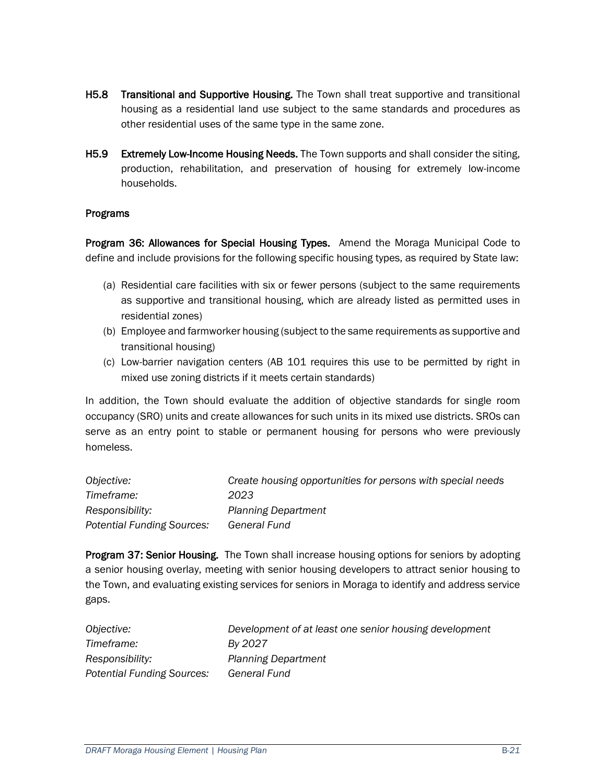- H5.8 Transitional and Supportive Housing. The Town shall treat supportive and transitional housing as a residential land use subject to the same standards and procedures as other residential uses of the same type in the same zone.
- H5.9 Extremely Low-Income Housing Needs. The Town supports and shall consider the siting, production, rehabilitation, and preservation of housing for extremely low-income households.

#### Programs

Program 36: Allowances for Special Housing Types. Amend the Moraga Municipal Code to define and include provisions for the following specific housing types, as required by State law:

- (a) Residential care facilities with six or fewer persons (subject to the same requirements as supportive and transitional housing, which are already listed as permitted uses in residential zones)
- (b) Employee and farmworker housing (subject to the same requirements as supportive and transitional housing)
- (c) Low-barrier navigation centers (AB 101 requires this use to be permitted by right in mixed use zoning districts if it meets certain standards)

In addition, the Town should evaluate the addition of objective standards for single room occupancy (SRO) units and create allowances for such units in its mixed use districts. SROs can serve as an entry point to stable or permanent housing for persons who were previously homeless.

| Objective:                 | Create housing opportunities for persons with special needs |
|----------------------------|-------------------------------------------------------------|
| Timeframe:                 | 2023                                                        |
| Responsibility:            | <b>Planning Department</b>                                  |
| Potential Funding Sources: | General Fund                                                |

Program 37: Senior Housing. The Town shall increase housing options for seniors by adopting a senior housing overlay, meeting with senior housing developers to attract senior housing to the Town, and evaluating existing services for seniors in Moraga to identify and address service gaps.

| Objective:                        | Development of at least one senior housing development |
|-----------------------------------|--------------------------------------------------------|
| Timeframe:                        | By 2027                                                |
| Responsibility:                   | <b>Planning Department</b>                             |
| <b>Potential Funding Sources:</b> | General Fund                                           |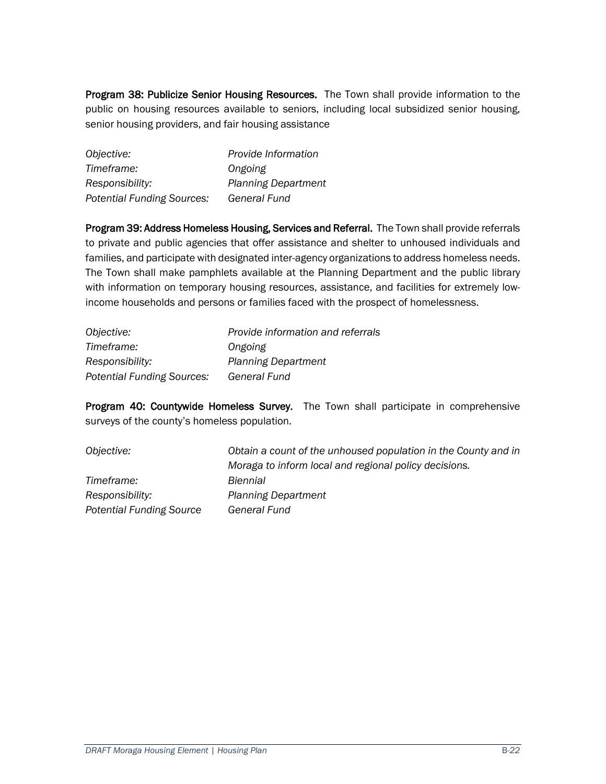Program 38: Publicize Senior Housing Resources. The Town shall provide information to the public on housing resources available to seniors, including local subsidized senior housing, senior housing providers, and fair housing assistance

| Objective:                        | Provide Information        |
|-----------------------------------|----------------------------|
| Timeframe:                        | Ongoing                    |
| Responsibility:                   | <b>Planning Department</b> |
| <b>Potential Funding Sources:</b> | General Fund               |

Program 39: Address Homeless Housing, Services and Referral. The Town shall provide referrals to private and public agencies that offer assistance and shelter to unhoused individuals and families, and participate with designated inter-agency organizations to address homeless needs. The Town shall make pamphlets available at the Planning Department and the public library with information on temporary housing resources, assistance, and facilities for extremely lowincome households and persons or families faced with the prospect of homelessness.

| Objective:                        | Provide information and referrals |
|-----------------------------------|-----------------------------------|
| Timeframe:                        | Ongoing                           |
| Responsibility:                   | <b>Planning Department</b>        |
| <b>Potential Funding Sources:</b> | General Fund                      |

Program 40: Countywide Homeless Survey. The Town shall participate in comprehensive surveys of the county's homeless population.

| Objective:                      | Obtain a count of the unhoused population in the County and in |
|---------------------------------|----------------------------------------------------------------|
|                                 | Moraga to inform local and regional policy decisions.          |
| Timeframe:                      | Biennial                                                       |
| Responsibility:                 | <b>Planning Department</b>                                     |
| <b>Potential Funding Source</b> | General Fund                                                   |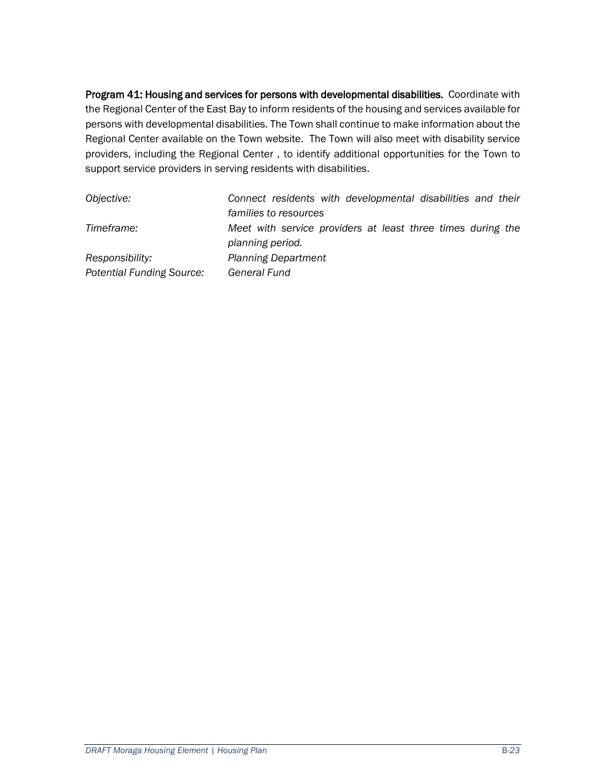Program 41: Housing and services for persons with developmental disabilities. Coordinate with the Regional Center of the East Bay to inform residents of the housing and services available for persons with developmental disabilities. The Town shall continue to make information about the Regional Center available on the Town website. The Town will also meet with disability service providers, including the Regional Center , to identify additional opportunities for the Town to support service providers in serving residents with disabilities.

| Objective:                       | Connect residents with developmental disabilities and their |
|----------------------------------|-------------------------------------------------------------|
|                                  | families to resources                                       |
| Timeframe:                       | Meet with service providers at least three times during the |
|                                  | planning period.                                            |
| Responsibility:                  | <b>Planning Department</b>                                  |
| <b>Potential Funding Source:</b> | <b>General Fund</b>                                         |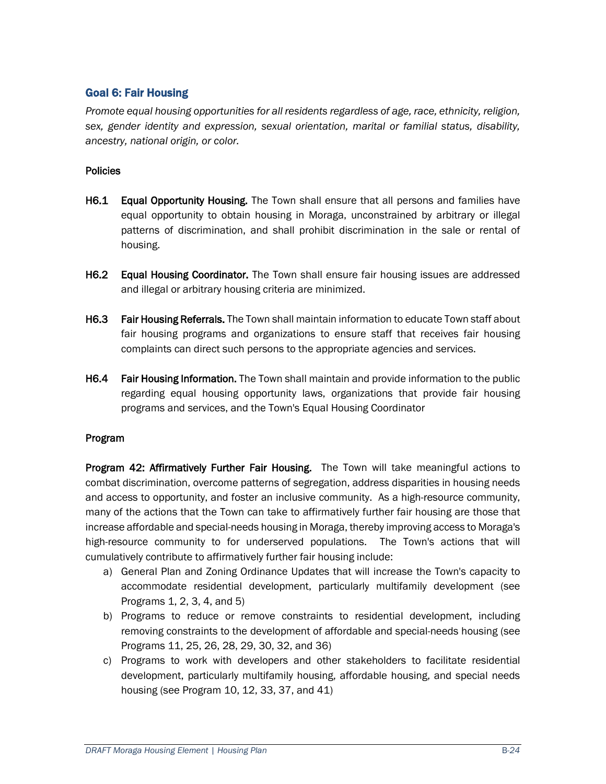#### Goal 6: Fair Housing

*Promote equal housing opportunities for all residents regardless of age, race, ethnicity, religion, sex, gender identity and expression, sexual orientation, marital or familial status, disability, ancestry, national origin, or color.*

#### **Policies**

- H6.1 Equal Opportunity Housing. The Town shall ensure that all persons and families have equal opportunity to obtain housing in Moraga, unconstrained by arbitrary or illegal patterns of discrimination, and shall prohibit discrimination in the sale or rental of housing.
- H6.2 Equal Housing Coordinator. The Town shall ensure fair housing issues are addressed and illegal or arbitrary housing criteria are minimized.
- **H6.3** Fair Housing Referrals. The Town shall maintain information to educate Town staff about fair housing programs and organizations to ensure staff that receives fair housing complaints can direct such persons to the appropriate agencies and services.
- H6.4 Fair Housing Information. The Town shall maintain and provide information to the public regarding equal housing opportunity laws, organizations that provide fair housing programs and services, and the Town's Equal Housing Coordinator

#### Program

Program 42: Affirmatively Further Fair Housing. The Town will take meaningful actions to combat discrimination, overcome patterns of segregation, address disparities in housing needs and access to opportunity, and foster an inclusive community. As a high-resource community, many of the actions that the Town can take to affirmatively further fair housing are those that increase affordable and special-needs housing in Moraga, thereby improving access to Moraga's high-resource community to for underserved populations. The Town's actions that will cumulatively contribute to affirmatively further fair housing include:

- a) General Plan and Zoning Ordinance Updates that will increase the Town's capacity to accommodate residential development, particularly multifamily development (see Programs 1, 2, 3, 4, and 5)
- b) Programs to reduce or remove constraints to residential development, including removing constraints to the development of affordable and special-needs housing (see Programs 11, 25, 26, 28, 29, 30, 32, and 36)
- c) Programs to work with developers and other stakeholders to facilitate residential development, particularly multifamily housing, affordable housing, and special needs housing (see Program 10, 12, 33, 37, and 41)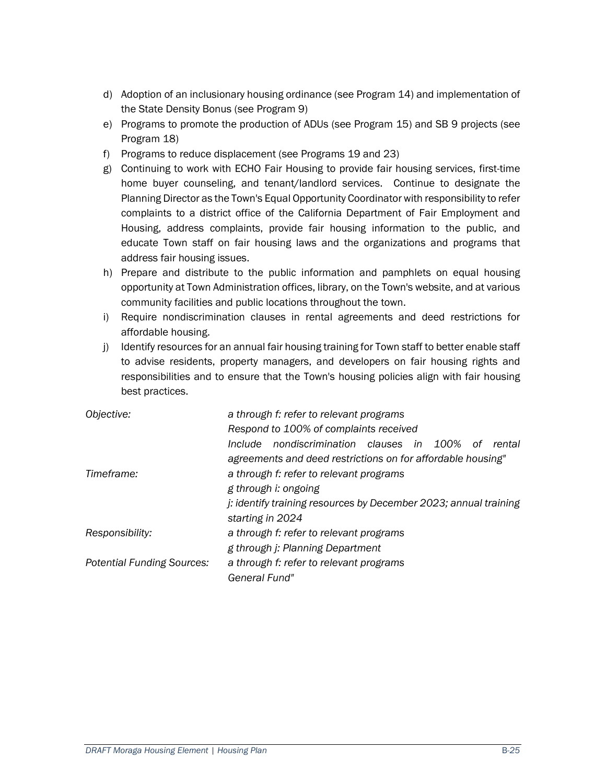- d) Adoption of an inclusionary housing ordinance (see Program 14) and implementation of the State Density Bonus (see Program 9)
- e) Programs to promote the production of ADUs (see Program 15) and SB 9 projects (see Program 18)
- f) Programs to reduce displacement (see Programs 19 and 23)
- g) Continuing to work with ECHO Fair Housing to provide fair housing services, first-time home buyer counseling, and tenant/landlord services. Continue to designate the Planning Director as the Town's Equal Opportunity Coordinator with responsibility to refer complaints to a district office of the California Department of Fair Employment and Housing, address complaints, provide fair housing information to the public, and educate Town staff on fair housing laws and the organizations and programs that address fair housing issues.
- h) Prepare and distribute to the public information and pamphlets on equal housing opportunity at Town Administration offices, library, on the Town's website, and at various community facilities and public locations throughout the town.
- i) Require nondiscrimination clauses in rental agreements and deed restrictions for affordable housing.
- j) Identify resources for an annual fair housing training for Town staff to better enable staff to advise residents, property managers, and developers on fair housing rights and responsibilities and to ensure that the Town's housing policies align with fair housing best practices.

| Objective:                        | a through f: refer to relevant programs<br>Respond to 100% of complaints received |  |
|-----------------------------------|-----------------------------------------------------------------------------------|--|
|                                   | nondiscrimination clauses in 100% of<br>Include<br>rental                         |  |
|                                   | agreements and deed restrictions on for affordable housing"                       |  |
| Timeframe:                        | a through f: refer to relevant programs                                           |  |
|                                   | g through i: ongoing                                                              |  |
|                                   | j: identify training resources by December 2023; annual training                  |  |
|                                   | starting in 2024                                                                  |  |
| Responsibility:                   | a through f: refer to relevant programs                                           |  |
|                                   | g through j: Planning Department                                                  |  |
| <b>Potential Funding Sources:</b> | a through f: refer to relevant programs                                           |  |
|                                   | General Fund"                                                                     |  |